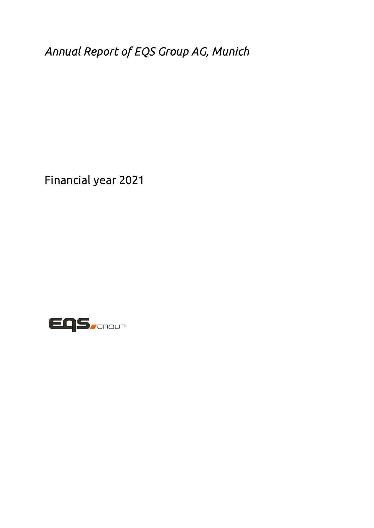*Annual Report of EQS Group AG, Munich* 

Financial year 2021

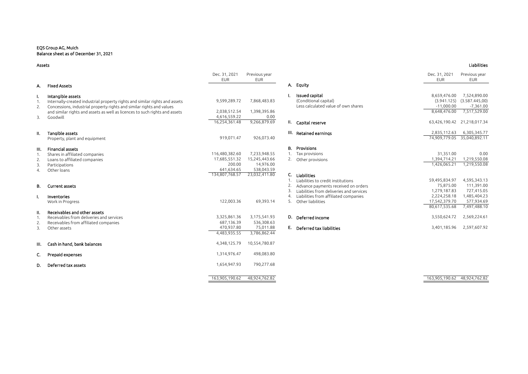#### EQS Group AG, Muich Balance sheet as of December 31, 2021

|     |                                                                             | Dec. 31, 2021<br><b>EUR</b>   | Previous year<br><b>EUR</b> |    |                                          | Dec. 31, 2021<br><b>EUR</b>    | Previous year<br><b>EUR</b> |
|-----|-----------------------------------------------------------------------------|-------------------------------|-----------------------------|----|------------------------------------------|--------------------------------|-----------------------------|
| А.  | Fixed Assets                                                                |                               |                             |    | A. Equity                                |                                |                             |
|     | Intangible assets                                                           |                               |                             |    | Issued capital                           | 8,659,476.00                   | 7,524,890.00                |
|     | Internally-created industrial property rights and similar rights and assets | 9,599,289.72                  | 7,868,483.83                |    | (Conditional capital)                    | (3.941.125)                    | (3.587.445,00)              |
| 2.  | Concessions, industrial property rights and similar rights and values       |                               |                             |    | Less calculated value of own shares      | $-11,000.00$                   | $-7,361.00$                 |
|     | and similar rights and assets as well as licences to such rights and assets | 2,038,512.54                  | 1,398,395.86                |    |                                          | 8,648,476.00                   | 7,517,529.00                |
| 3.  | Goodwill                                                                    | 4,616,559.22<br>16,254,361.48 | 0.00<br>9,266,879.69        |    | II. Capital reserve                      |                                | 63,426,190.42 21,218,017.34 |
|     |                                                                             |                               |                             |    |                                          |                                |                             |
| Ш.  | Tangible assets                                                             |                               |                             |    | III. Retained earnings                   | 2,835,112.63                   | 6,305,345.77                |
|     | Property, plant and equipment                                               | 919,071.47                    | 926,073.40                  |    |                                          | 74,909,779.05                  | 35,040,892.11               |
| Ш.  | Financial assets                                                            |                               |                             |    | <b>B.</b> Provisions                     |                                |                             |
| 1.  | Shares in affiliated companies                                              | 116,480,382.60                | 7,233,948.55                |    | 1. Tax provisions                        | 31,351.00                      | 0.00                        |
| 2.  | Loans to affiliated companies                                               | 17.685.551.32                 | 15,245,443.66               |    | 2. Other provisions                      | 1,394,714.21                   | 1,219,550.08                |
| 3.  | Participations                                                              | 200.00                        | 14,976.00                   |    |                                          | 1,426,065.21                   | 1,219,550.08                |
| 4.  | Other loans                                                                 | 641,634.65                    | 538,043.59                  |    |                                          |                                |                             |
|     |                                                                             | 134,807,768.57                | 23,032,411.80               | C. | Liabilities                              |                                |                             |
|     |                                                                             |                               |                             |    | Liabilities to credit institutions       | 59,495,834.97                  | 4,595,343.13                |
| В.  | Current assets                                                              |                               |                             |    | Advance payments received on orders      | 75,875.00                      | 111,391.00                  |
|     |                                                                             |                               |                             |    | Liabilities from deliveries and services | 1,279,187.83                   | 727,415.05                  |
|     | Inventories                                                                 |                               |                             |    | Liabilities from affiliated companies    | 2,224,258.18                   | 1,485,404.23                |
|     | Work in Progress                                                            | 122,003.36                    | 69,393.14                   | 5. | Other liabilities                        | 17,542,379.70<br>80,617,535.68 | 577,934.69<br>7,497,488.10  |
| ΙΙ. | Receivables and other assets                                                |                               |                             |    |                                          |                                |                             |
| 1.  | Receivables from deliveries and services                                    | 3,325,861.36                  | 3,175,541.93                |    | D. Deferred income                       | 3,550,624.72                   | 2,569,224.61                |
| 2.  | Receivables from affiliated companies                                       | 687,136.39                    | 536,308.63                  |    |                                          |                                |                             |
| 3.  | Other assets                                                                | 470,937.80                    | 75,011.88                   |    | E. Deferred tax liabilities              | 3,401,185.96                   | 2,597,607.92                |
|     |                                                                             | 4,483,935.55                  | 3,786,862.44                |    |                                          |                                |                             |
| Ш.  | Cash in hand, bank balances                                                 | 4,348,125.79                  | 10,554,780.87               |    |                                          |                                |                             |
| C.  | Prepaid expenses                                                            | 1,314,976.47                  | 498,083.80                  |    |                                          |                                |                             |
| D.  | Deferred tax assets                                                         | 1,654,947.93                  | 790,277.68                  |    |                                          |                                |                             |
|     |                                                                             |                               |                             |    |                                          |                                |                             |

| Liabilities |
|-------------|
|             |

| Dec. 31, 2021<br><b>EUR</b> | Previous year<br><b>EUR</b> |    |                                          | Dec. 31, 2021<br><b>EUR</b> | Previous year<br><b>EUR</b> |
|-----------------------------|-----------------------------|----|------------------------------------------|-----------------------------|-----------------------------|
|                             |                             |    | A. Equity                                |                             |                             |
|                             |                             |    |                                          |                             |                             |
|                             |                             | ı. | <b>Issued capital</b>                    | 8,659,476.00                | 7,524,890.00                |
| 9,599,289.72                | 7,868,483.83                |    | (Conditional capital)                    | (3.941.125)                 | (3.587.445,00)              |
|                             |                             |    | Less calculated value of own shares      | $-11,000.00$                | $-7,361.00$                 |
| 2,038,512.54                | 1,398,395.86                |    |                                          | 8,648,476.00                | 7,517,529.00                |
| 4,616,559.22                | 0.00                        |    |                                          |                             |                             |
| 16,254,361.48               | 9,266,879.69                | н. | Capital reserve                          | 63,426,190.42               | 21,218,017.34               |
|                             |                             | Ш. | Retained earnings                        | 2,835,112.63                | 6,305,345.77                |
| 919.071.47                  | 926,073.40                  |    |                                          | 74.909.779.05               | 35.040.892.11               |
|                             |                             | В. | Provisions                               |                             |                             |
| 116,480,382.60              | 7,233,948.55                | 1. | Tax provisions                           | 31,351.00                   | 0.00                        |
| 17,685,551.32               | 15,245,443.66               | 2. | Other provisions                         | 1,394,714.21                | 1,219,550.08                |
| 200.00                      | 14.976.00                   |    |                                          | 1.426.065.21                | 1,219,550.08                |
| 641,634.65                  | 538.043.59                  |    |                                          |                             |                             |
| 134,807,768.57              | 23,032,411.80               | C. | Liabilities                              |                             |                             |
|                             |                             | 1. | Liabilities to credit institutions       | 59,495,834.97               | 4,595,343.13                |
|                             |                             | 2. | Advance payments received on orders      | 75,875.00                   | 111,391.00                  |
|                             |                             | 3. | Liabilities from deliveries and services | 1,279,187.83                | 727,415.05                  |
|                             |                             | 4. | Liabilities from affiliated companies    | 2,224,258.18                | 1,485,404.23                |
| 122,003.36                  | 69,393.14                   | 5. | Other liabilities                        | 17,542,379.70               | 577,934.69                  |
|                             |                             |    |                                          | 80.617.535.68               | 7,497,488.10                |
| 3,325,861.36                | 3,175,541.93                | D. | Deferred income                          | 3,550,624.72                | 2,569,224.61                |
| 687.136.39                  | 536,308.63                  |    |                                          |                             |                             |
| 470,937.80                  | 75,011.88                   | Е. | Deferred tax liabilities                 | 3,401,185.96                | 2,597,607.92                |
| 4,483,935.55                | 3.786.862.44                |    |                                          |                             |                             |
|                             |                             |    |                                          |                             |                             |

163,905,190.62 48,924,762.82 163,905,190.62 48,924,762.82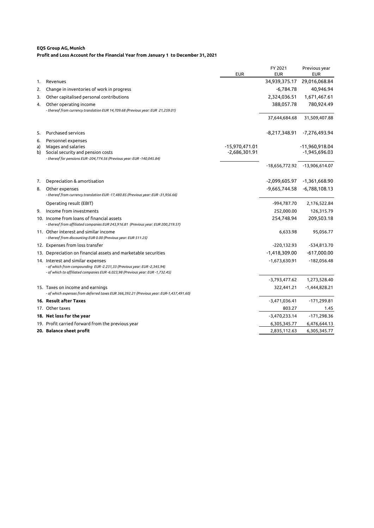#### **EQS Group AG, Munich Profit and Loss Account for the Financial Year from January 1 to December 31, 2021**

|          |                                                                                                                                    | <b>EUR</b>                          | FY 2021<br><b>EUR</b> | Previous year<br><b>EUR</b>       |
|----------|------------------------------------------------------------------------------------------------------------------------------------|-------------------------------------|-----------------------|-----------------------------------|
| 1.       | Revenues                                                                                                                           |                                     | 34,939,375.17         | 29,016,068.84                     |
| 2.       | Change in inventories of work in progress                                                                                          |                                     | $-6,784.78$           | 40,946.94                         |
| 3.       | Other capitalised personal contributions                                                                                           |                                     | 2,324,036.51          | 1,671,467.61                      |
| 4.       | Other operating income<br>- thereof from currency translation EUR 14,709.68 (Previous year: EUR 21,259.01)                         |                                     | 388,057.78            | 780,924.49                        |
|          |                                                                                                                                    |                                     | 37,644,684.68         | 31,509,407.88                     |
| 5.       | Purchased services                                                                                                                 |                                     | -8,217,348.91         | -7,276,493.94                     |
| 6.       | Personnel expenses                                                                                                                 |                                     |                       |                                   |
| a)<br>b) | Wages and salaries<br>Social security and pension costs<br>- thereof for pensions EUR -204,774.56 (Previous year: EUR -140,045.84) | $-15,970,471.01$<br>$-2,686,301.91$ |                       | -11,960,918.04<br>$-1,945,696.03$ |
|          |                                                                                                                                    |                                     |                       | -18,656,772.92 -13,906,614.07     |
| 7.       | Depreciation & amortisation                                                                                                        |                                     | -2,099,605.97         | -1,361,668.90                     |
| 8.       | Other expenses<br>- thereof from currency translation EUR -17,480.85 (Previous year: EUR -31,956.66)                               |                                     | $-9,665,744.58$       | $-6,788,108.13$                   |
|          | Operating result (EBIT)                                                                                                            |                                     | -994,787.70           | 2,176,522.84                      |
| 9.       | Income from investments                                                                                                            |                                     | 252,000.00            | 126,315.79                        |
|          | 10. Income from loans of financial assets<br>- thereof from affiliated companies EUR 243,916.81 (Previous year: EUR 200,219.57)    |                                     | 254,748.94            | 209,503.18                        |
|          | 11. Other interest and similar income<br>- thereof from discounting EUR 0.00 (Previous year: EUR 511.25)                           |                                     | 6,633.98              | 95,056.77                         |
|          | 12. Expenses from loss transfer                                                                                                    |                                     | $-220,132.93$         | $-534,813.70$                     |
|          | 13. Depreciation on financial assets and marketable securities                                                                     |                                     | $-1,418,309.00$       | $-617,000.00$                     |
|          | 14. Interest and similar expenses<br>- of which from compounding EUR -2.231,33 (Previous year: EUR -2,345.94)                      |                                     | $-1,673,630.91$       | $-182,056.48$                     |
|          | - of which to affiliated companies EUR -6.023,98 (Previous year: EUR -1,732.45)                                                    |                                     | $-3,793,477.62$       | 1,273,528.40                      |
|          |                                                                                                                                    |                                     |                       | $-1,444,828.21$                   |
|          | 15. Taxes on income and earnings<br>- of which expenses from deferred taxes EUR 366,392.21 (Previous year: EUR-1,437,491.60)       |                                     | 322,441.21            |                                   |
|          | 16. Result after Taxes                                                                                                             |                                     | $-3,471,036.41$       | $-171,299.81$                     |
|          | 17. Other taxes                                                                                                                    |                                     | 803.27                | 1.45                              |
|          | 18. Net loss for the year                                                                                                          |                                     | $-3,470,233.14$       | $-171,298.36$                     |
|          | 19. Profit carried forward from the previous year                                                                                  |                                     | 6,305,345.77          | 6,476,644.13                      |
|          | 20. Balance sheet profit                                                                                                           |                                     | 2,835,112.63          | 6,305,345.77                      |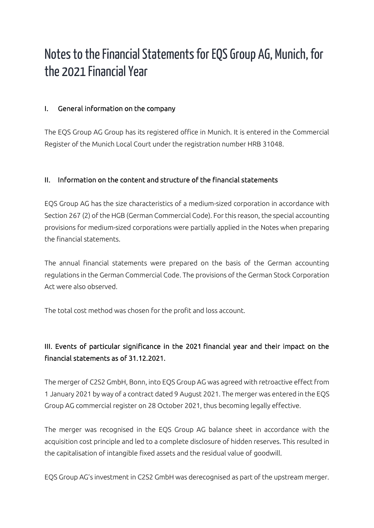# Notes to the Financial Statements for EQS Group AG, Munich, for the 2021 Financial Year

### I. General information on the company

The EQS Group AG Group has its registered office in Munich. It is entered in the Commercial Register of the Munich Local Court under the registration number HRB 31048.

### II. Information on the content and structure of the financial statements

EQS Group AG has the size characteristics of a medium-sized corporation in accordance with Section 267 (2) of the HGB (German Commercial Code). For this reason, the special accounting provisions for medium-sized corporations were partially applied in the Notes when preparing the financial statements.

The annual financial statements were prepared on the basis of the German accounting regulations in the German Commercial Code. The provisions of the German Stock Corporation Act were also observed.

The total cost method was chosen for the profit and loss account.

### III. Events of particular significance in the 2021 financial year and their impact on the financial statements as of 31.12.2021.

The merger of C2S2 GmbH, Bonn, into EQS Group AG was agreed with retroactive effect from 1 January 2021 by way of a contract dated 9 August 2021. The merger was entered in the EQS Group AG commercial register on 28 October 2021, thus becoming legally effective.

The merger was recognised in the EQS Group AG balance sheet in accordance with the acquisition cost principle and led to a complete disclosure of hidden reserves. This resulted in the capitalisation of intangible fixed assets and the residual value of goodwill.

EQS Group AG's investment in C2S2 GmbH was derecognised as part of the upstream merger.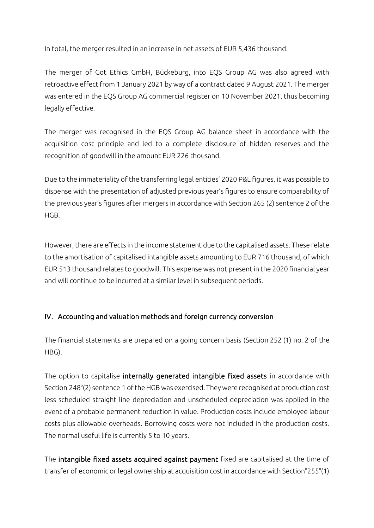In total, the merger resulted in an increase in net assets of EUR 5,436 thousand.

The merger of Got Ethics GmbH, Bückeburg, into EQS Group AG was also agreed with retroactive effect from 1 January 2021 by way of a contract dated 9 August 2021. The merger was entered in the EQS Group AG commercial register on 10 November 2021, thus becoming legally effective.

The merger was recognised in the EQS Group AG balance sheet in accordance with the acquisition cost principle and led to a complete disclosure of hidden reserves and the recognition of goodwill in the amount EUR 226 thousand.

Due to the immateriality of the transferring legal entities' 2020 P&L figures, it was possible to dispense with the presentation of adjusted previous year's figures to ensure comparability of the previous year's figures after mergers in accordance with Section 265 (2) sentence 2 of the HGB.

However, there are effects in the income statement due to the capitalised assets. These relate to the amortisation of capitalised intangible assets amounting to EUR 716 thousand, of which EUR 513 thousand relates to goodwill. This expense was not present in the 2020 financial year and will continue to be incurred at a similar level in subsequent periods.

### IV. Accounting and valuation methods and foreign currency conversion

The financial statements are prepared on a going concern basis (Section 252 (1) no. 2 of the HBG).

The option to capitalise internally generated intangible fixed assets in accordance with Section 248°(2) sentence 1 of the HGB was exercised. They were recognised at production cost less scheduled straight line depreciation and unscheduled depreciation was applied in the event of a probable permanent reduction in value. Production costs include employee labour costs plus allowable overheads. Borrowing costs were not included in the production costs. The normal useful life is currently 5 to 10 years.

The intangible fixed assets acquired against payment fixed are capitalised at the time of transfer of economic or legal ownership at acquisition cost in accordance with Section°255°(1)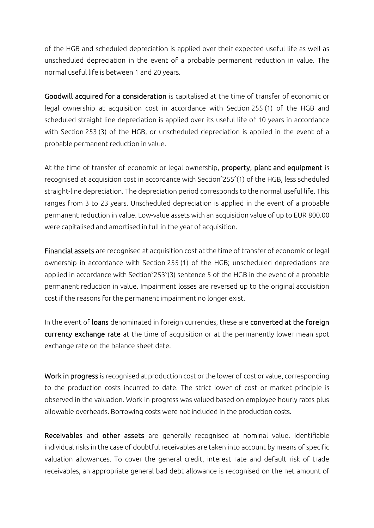of the HGB and scheduled depreciation is applied over their expected useful life as well as unscheduled depreciation in the event of a probable permanent reduction in value. The normal useful life is between 1 and 20 years.

Goodwill acquired for a consideration is capitalised at the time of transfer of economic or legal ownership at acquisition cost in accordance with Section 255 (1) of the HGB and scheduled straight line depreciation is applied over its useful life of 10 years in accordance with Section 253 (3) of the HGB, or unscheduled depreciation is applied in the event of a probable permanent reduction in value.

At the time of transfer of economic or legal ownership, property, plant and equipment is recognised at acquisition cost in accordance with Section°255°(1) of the HGB, less scheduled straight-line depreciation. The depreciation period corresponds to the normal useful life. This ranges from 3 to 23 years. Unscheduled depreciation is applied in the event of a probable permanent reduction in value. Low-value assets with an acquisition value of up to EUR 800.00 were capitalised and amortised in full in the year of acquisition.

Financial assets are recognised at acquisition cost at the time of transfer of economic or legal ownership in accordance with Section 255 (1) of the HGB; unscheduled depreciations are applied in accordance with Section°253°(3) sentence 5 of the HGB in the event of a probable permanent reduction in value. Impairment losses are reversed up to the original acquisition cost if the reasons for the permanent impairment no longer exist.

In the event of loans denominated in foreign currencies, these are converted at the foreign currency exchange rate at the time of acquisition or at the permanently lower mean spot exchange rate on the balance sheet date.

Work in progress is recognised at production cost or the lower of cost or value, corresponding to the production costs incurred to date. The strict lower of cost or market principle is observed in the valuation. Work in progress was valued based on employee hourly rates plus allowable overheads. Borrowing costs were not included in the production costs.

Receivables and other assets are generally recognised at nominal value. Identifiable individual risks in the case of doubtful receivables are taken into account by means of specific valuation allowances. To cover the general credit, interest rate and default risk of trade receivables, an appropriate general bad debt allowance is recognised on the net amount of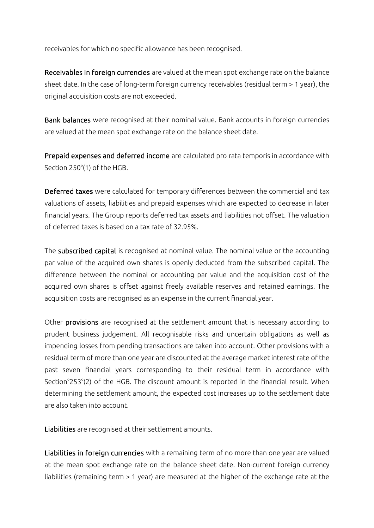receivables for which no specific allowance has been recognised.

Receivables in foreign currencies are valued at the mean spot exchange rate on the balance sheet date. In the case of long-term foreign currency receivables (residual term > 1 year), the original acquisition costs are not exceeded.

Bank balances were recognised at their nominal value. Bank accounts in foreign currencies are valued at the mean spot exchange rate on the balance sheet date.

Prepaid expenses and deferred income are calculated pro rata temporis in accordance with Section 250°(1) of the HGB.

Deferred taxes were calculated for temporary differences between the commercial and tax valuations of assets, liabilities and prepaid expenses which are expected to decrease in later financial years. The Group reports deferred tax assets and liabilities not offset. The valuation of deferred taxes is based on a tax rate of 32.95%.

The subscribed capital is recognised at nominal value. The nominal value or the accounting par value of the acquired own shares is openly deducted from the subscribed capital. The difference between the nominal or accounting par value and the acquisition cost of the acquired own shares is offset against freely available reserves and retained earnings. The acquisition costs are recognised as an expense in the current financial year.

Other provisions are recognised at the settlement amount that is necessary according to prudent business judgement. All recognisable risks and uncertain obligations as well as impending losses from pending transactions are taken into account. Other provisions with a residual term of more than one year are discounted at the average market interest rate of the past seven financial years corresponding to their residual term in accordance with Section°253°(2) of the HGB. The discount amount is reported in the financial result. When determining the settlement amount, the expected cost increases up to the settlement date are also taken into account.

Liabilities are recognised at their settlement amounts.

Liabilities in foreign currencies with a remaining term of no more than one year are valued at the mean spot exchange rate on the balance sheet date. Non-current foreign currency liabilities (remaining term > 1 year) are measured at the higher of the exchange rate at the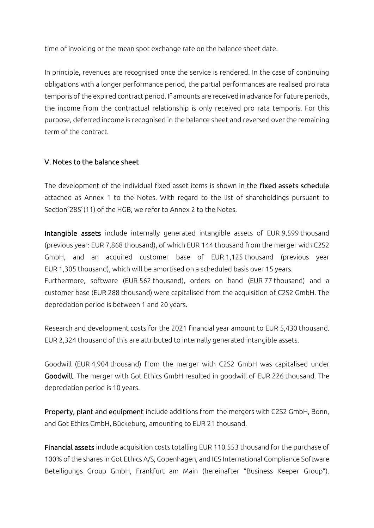time of invoicing or the mean spot exchange rate on the balance sheet date.

In principle, revenues are recognised once the service is rendered. In the case of continuing obligations with a longer performance period, the partial performances are realised pro rata temporis of the expired contract period. If amounts are received in advance for future periods, the income from the contractual relationship is only received pro rata temporis. For this purpose, deferred income is recognised in the balance sheet and reversed over the remaining term of the contract.

### V. Notes to the balance sheet

The development of the individual fixed asset items is shown in the fixed assets schedule attached as Annex 1 to the Notes. With regard to the list of shareholdings pursuant to Section°285°(11) of the HGB, we refer to Annex 2 to the Notes.

Intangible assets include internally generated intangible assets of EUR 9,599 thousand (previous year: EUR 7,868 thousand), of which EUR 144 thousand from the merger with C2S2 GmbH, and an acquired customer base of EUR 1,125 thousand (previous year EUR 1,305 thousand), which will be amortised on a scheduled basis over 15 years. Furthermore, software (EUR 562 thousand), orders on hand (EUR 77 thousand) and a customer base (EUR 288 thousand) were capitalised from the acquisition of C2S2 GmbH. The depreciation period is between 1 and 20 years.

Research and development costs for the 2021 financial year amount to EUR 5,430 thousand. EUR 2,324 thousand of this are attributed to internally generated intangible assets.

Goodwill (EUR 4,904 thousand) from the merger with C2S2 GmbH was capitalised under Goodwill. The merger with Got Ethics GmbH resulted in goodwill of EUR 226 thousand. The depreciation period is 10 years.

Property, plant and equipment include additions from the mergers with C2S2 GmbH, Bonn, and Got Ethics GmbH, Bückeburg, amounting to EUR 21 thousand.

Financial assets include acquisition costs totalling EUR 110,553 thousand for the purchase of 100% of the shares in Got Ethics A/S, Copenhagen, and ICS International Compliance Software Beteiligungs Group GmbH, Frankfurt am Main (hereinafter "Business Keeper Group").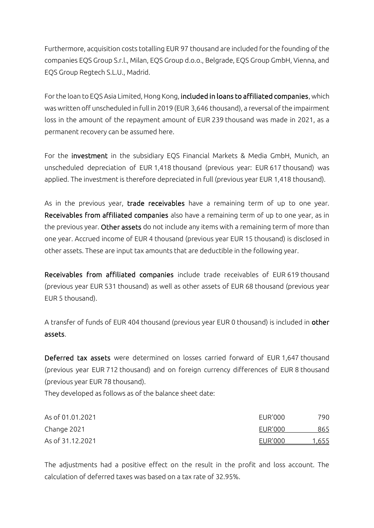Furthermore, acquisition costs totalling EUR 97 thousand are included for the founding of the companies EQS Group S.r.l., Milan, EQS Group d.o.o., Belgrade, EQS Group GmbH, Vienna, and EQS Group Regtech S.L.U., Madrid.

For the loan to EQS Asia Limited, Hong Kong, included in loans to affiliated companies, which was written off unscheduled in full in 2019 (EUR 3,646 thousand), a reversal of the impairment loss in the amount of the repayment amount of EUR 239 thousand was made in 2021, as a permanent recovery can be assumed here.

For the investment in the subsidiary EQS Financial Markets & Media GmbH, Munich, an unscheduled depreciation of EUR 1,418 thousand (previous year: EUR 617 thousand) was applied. The investment is therefore depreciated in full (previous year EUR 1,418 thousand).

As in the previous year, trade receivables have a remaining term of up to one year. Receivables from affiliated companies also have a remaining term of up to one year, as in the previous year. Other assets do not include any items with a remaining term of more than one year. Accrued income of EUR 4 thousand (previous year EUR 15 thousand) is disclosed in other assets. These are input tax amounts that are deductible in the following year.

Receivables from affiliated companies include trade receivables of EUR 619 thousand (previous year EUR 531 thousand) as well as other assets of EUR 68 thousand (previous year EUR 5 thousand).

A transfer of funds of EUR 404 thousand (previous year EUR 0 thousand) is included in other assets.

Deferred tax assets were determined on losses carried forward of EUR 1,647 thousand (previous year EUR 712 thousand) and on foreign currency differences of EUR 8 thousand (previous year EUR 78 thousand).

They developed as follows as of the balance sheet date:

| As of 01.01.2021 | EUR'000 | 790   |
|------------------|---------|-------|
| Change 2021      | EUR'000 | 865   |
| As of 31.12.2021 | EUR'000 | 1,655 |

The adjustments had a positive effect on the result in the profit and loss account. The calculation of deferred taxes was based on a tax rate of 32.95%.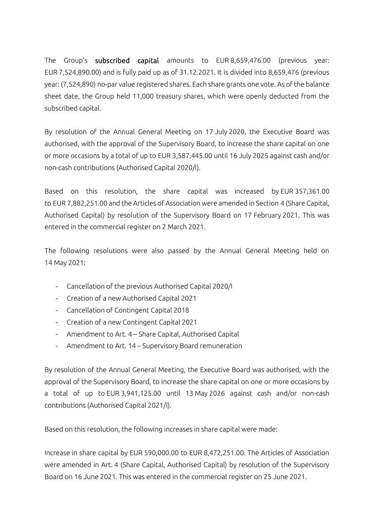The Group's subscribed capital amounts to EUR 8,659,476.00 (previous year: EUR 7,524,890.00) and is fully paid up as of 31.12.2021. It is divided into 8,659,476 (previous year: (7,524,890) no-par value registered shares. Each share grants one vote. As of the balance sheet date, the Group held 11,000 treasury shares, which were openly deducted from the subscribed capital.

By resolution of the Annual General Meeting on 17 July 2020, the Executive Board was authorised, with the approval of the Supervisory Board, to increase the share capital on one or more occasions by a total of up to EUR 3,587,445.00 until 16 July 2025 against cash and/or non-cash contributions (Authorised Capital 2020/I).

Based on this resolution, the share capital was increased by EUR 357,361.00 to EUR 7,882,251.00 and the Articles of Association were amended in Section 4 (Share Capital, Authorised Capital) by resolution of the Supervisory Board on 17 February 2021. This was entered in the commercial register on 2 March 2021.

The following resolutions were also passed by the Annual General Meeting held on 14 May 2021:

- Cancellation of the previous Authorised Capital 2020/I
- Creation of a new Authorised Capital 2021
- Cancellation of Contingent Capital 2018
- Creation of a new Contingent Capital 2021
- Amendment to Art. 4 Share Capital, Authorised Capital
- Amendment to Art. 14 Supervisory Board remuneration

By resolution of the Annual General Meeting, the Executive Board was authorised, with the approval of the Supervisory Board, to increase the share capital on one or more occasions by a total of up to EUR 3,941,125.00 until 13 May 2026 against cash and/or non-cash contributions (Authorised Capital 2021/I).

Based on this resolution, the following increases in share capital were made:

Increase in share capital by EUR 590,000.00 to EUR 8,472,251.00. The Articles of Association were amended in Art. 4 (Share Capital, Authorised Capital) by resolution of the Supervisory Board on 16 June 2021. This was entered in the commercial register on 25 June 2021.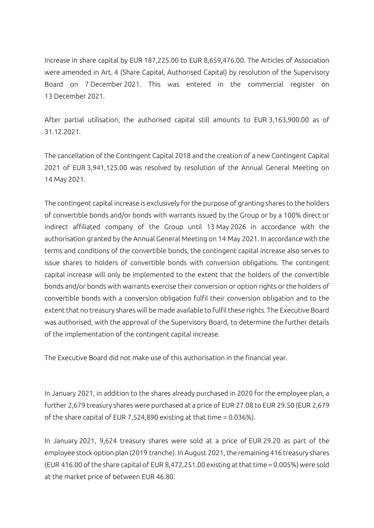Increase in share capital by EUR 187,225.00 to EUR 8,659,476.00. The Articles of Association were amended in Art. 4 (Share Capital, Authorised Capital) by resolution of the Supervisory Board on 7 December 2021. This was entered in the commercial register on 13 December 2021.

After partial utilisation, the authorised capital still amounts to EUR 3,163,900.00 as of 31.12.2021.

The cancellation of the Contingent Capital 2018 and the creation of a new Contingent Capital 2021 of EUR 3,941,125.00 was resolved by resolution of the Annual General Meeting on 14 May 2021.

The contingent capital increase is exclusively for the purpose of granting shares to the holders of convertible bonds and/or bonds with warrants issued by the Group or by a 100% direct or indirect affiliated company of the Group until 13 May 2026 in accordance with the authorisation granted by the Annual General Meeting on 14 May 2021. In accordance with the terms and conditions of the convertible bonds, the contingent capital increase also serves to issue shares to holders of convertible bonds with conversion obligations. The contingent capital increase will only be implemented to the extent that the holders of the convertible bonds and/or bonds with warrants exercise their conversion or option rights or the holders of convertible bonds with a conversion obligation fulfil their conversion obligation and to the extent that no treasury shares will be made available to fulfil these rights. The Executive Board was authorised, with the approval of the Supervisory Board, to determine the further details of the implementation of the contingent capital increase.

The Executive Board did not make use of this authorisation in the financial year.

In January 2021, in addition to the shares already purchased in 2020 for the employee plan, a further 2,679 treasury shares were purchased at a price of EUR 27.08 to EUR 29.50 (EUR 2,679 of the share capital of EUR 7,524,890 existing at that time = 0.036%).

In January 2021, 9,624 treasury shares were sold at a price of EUR 29.20 as part of the employee stock option plan (2019 tranche). In August 2021, the remaining 416 treasury shares (EUR 416.00 of the share capital of EUR 8,472,251.00 existing at that time = 0.005%) were sold at the market price of between EUR 46.80.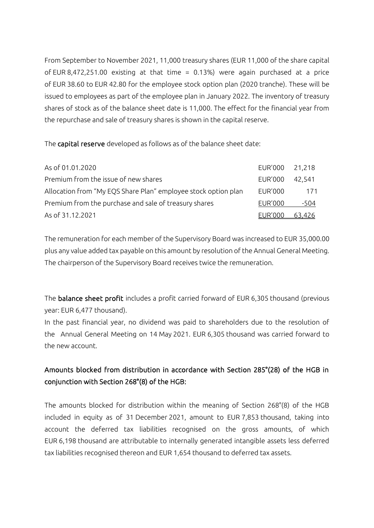From September to November 2021, 11,000 treasury shares (EUR 11,000 of the share capital of EUR 8,472,251.00 existing at that time = 0.13%) were again purchased at a price of EUR 38.60 to EUR 42.80 for the employee stock option plan (2020 tranche). These will be issued to employees as part of the employee plan in January 2022. The inventory of treasury shares of stock as of the balance sheet date is 11,000. The effect for the financial year from the repurchase and sale of treasury shares is shown in the capital reserve.

The capital reserve developed as follows as of the balance sheet date:

| As of 01.01.2020                                               | EUR'000 21,218 |        |
|----------------------------------------------------------------|----------------|--------|
| Premium from the issue of new shares                           | EUR'000        | 42.541 |
| Allocation from "My EQS Share Plan" employee stock option plan | <b>EUR'000</b> | 171    |
| Premium from the purchase and sale of treasury shares          | <b>EUR'000</b> | -504   |
| As of 31.12.2021                                               | EUR'000        | 63.426 |

The remuneration for each member of the Supervisory Board was increased to EUR 35,000.00 plus any value added tax payable on this amount by resolution of the Annual General Meeting. The chairperson of the Supervisory Board receives twice the remuneration.

The balance sheet profit includes a profit carried forward of EUR 6,305 thousand (previous year: EUR 6,477 thousand).

In the past financial year, no dividend was paid to shareholders due to the resolution of the Annual General Meeting on 14 May 2021. EUR 6,305 thousand was carried forward to the new account.

### Amounts blocked from distribution in accordance with Section 285°(28) of the HGB in conjunction with Section 268°(8) of the HGB:

The amounts blocked for distribution within the meaning of Section 268°(8) of the HGB included in equity as of 31 December 2021, amount to EUR 7,853 thousand, taking into account the deferred tax liabilities recognised on the gross amounts, of which EUR 6,198 thousand are attributable to internally generated intangible assets less deferred tax liabilities recognised thereon and EUR 1,654 thousand to deferred tax assets.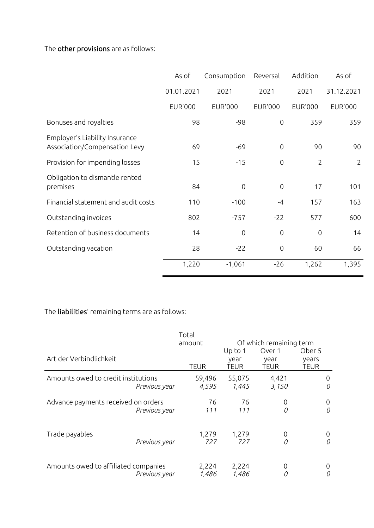The other provisions are as follows:

|                                                                 | As of          | Consumption         | Reversal         | Addition       | As of          |
|-----------------------------------------------------------------|----------------|---------------------|------------------|----------------|----------------|
|                                                                 | 01.01.2021     | 2021                | 2021             | 2021           | 31.12.2021     |
|                                                                 | <b>EUR'000</b> | <b>EUR'000</b>      | <b>EUR'000</b>   | <b>EUR'000</b> | <b>EUR'000</b> |
| Bonuses and royalties                                           | 98             | $-98$               | $\overline{0}$   | 359            | 359            |
| Employer's Liability Insurance<br>Association/Compensation Levy | 69             | $-69$               | $\mathbf 0$      | 90             | 90             |
| Provision for impending losses                                  | 15             | $-15$               | 0                | $\overline{2}$ | $\overline{2}$ |
| Obligation to dismantle rented<br>premises                      | 84             | $\mathbf 0$         | $\mathbf 0$      | 17             | 101            |
| Financial statement and audit costs                             | 110            | $-100$              | $-4$             | 157            | 163            |
| Outstanding invoices                                            | 802            | $-757$              | $-22$            | 577            | 600            |
| Retention of business documents                                 | 14             | $\mathsf{O}\xspace$ | $\mathbf 0$      | $\mathbf 0$    | 14             |
| Outstanding vacation                                            | 28             | $-22$               | $\boldsymbol{0}$ | 60             | 66             |
|                                                                 | 1,220          | $-1,061$            | $-26$            | 1,262          | 1,395          |

### The liabilities' remaining terms are as follows:

|                                      |               | Total           |                                |                                                          |                                |
|--------------------------------------|---------------|-----------------|--------------------------------|----------------------------------------------------------|--------------------------------|
| Art der Verbindlichkeit              |               | amount<br>TEUR  | Up to 1<br>year<br><b>TEUR</b> | Of which remaining term<br>Over 1<br>year<br><b>TEUR</b> | Ober 5<br>years<br><b>TEUR</b> |
| Amounts owed to credit institutions  | Previous year | 59,496<br>4,595 | 55,075<br>1,445                | 4,421<br>3,150                                           | 0<br>0                         |
| Advance payments received on orders  | Previous year | 76<br>111       | 76<br>111                      | 0<br>0                                                   | 0<br>0                         |
| Trade payables                       | Previous year | 1,279<br>727    | 1,279<br>727                   | 0<br>0                                                   | 0<br>0                         |
| Amounts owed to affiliated companies | Previous year | 2,224<br>1,486  | 2,224<br>1,486                 | 0<br>0                                                   | 0<br>0                         |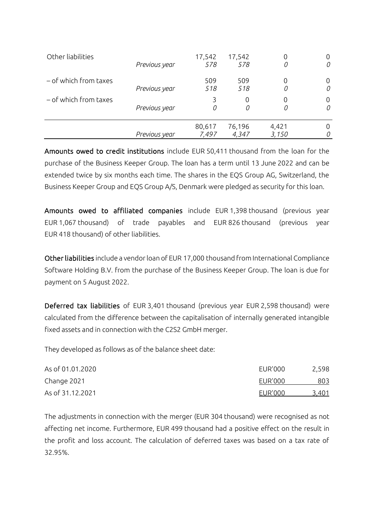| Other liabilities     | Previous year | 17,542<br>578   | 17,542<br>578   | 0              | 0      |
|-----------------------|---------------|-----------------|-----------------|----------------|--------|
| - of which from taxes | Previous year | 509<br>518      | 509<br>518      | 0<br>0         | 0<br>0 |
| - of which from taxes | Previous year | 0               | 0<br>0          | 0<br>0         | 0<br>0 |
|                       | Previous year | 80,617<br>7,497 | 76,196<br>4,347 | 4,421<br>3,150 |        |

Amounts owed to credit institutions include EUR 50,411 thousand from the loan for the purchase of the Business Keeper Group. The loan has a term until 13 June 2022 and can be extended twice by six months each time. The shares in the EQS Group AG, Switzerland, the Business Keeper Group and EQS Group A/S, Denmark were pledged as security for this loan.

Amounts owed to affiliated companies include EUR 1,398 thousand (previous year EUR 1,067 thousand) of trade payables and EUR 826 thousand (previous year EUR 418 thousand) of other liabilities.

Other liabilities include a vendor loan of EUR 17,000 thousand from International Compliance Software Holding B.V. from the purchase of the Business Keeper Group. The loan is due for payment on 5 August 2022.

Deferred tax liabilities of EUR 3,401 thousand (previous year EUR 2,598 thousand) were calculated from the difference between the capitalisation of internally generated intangible fixed assets and in connection with the C2S2 GmbH merger.

They developed as follows as of the balance sheet date:

| As of 01.01.2020 | <b>EUR'000</b> | 2,598 |
|------------------|----------------|-------|
| Change 2021      | EUR'000        | 803   |
| As of 31.12.2021 | EUR'000        | 3,401 |

The adjustments in connection with the merger (EUR 304 thousand) were recognised as not affecting net income. Furthermore, EUR 499 thousand had a positive effect on the result in the profit and loss account. The calculation of deferred taxes was based on a tax rate of 32.95%.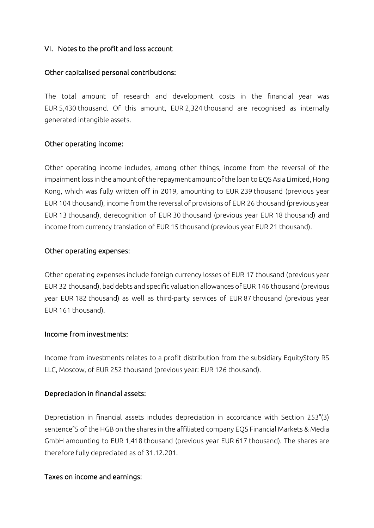### VI. Notes to the profit and loss account

### Other capitalised personal contributions:

The total amount of research and development costs in the financial year was EUR 5,430 thousand. Of this amount, EUR 2,324 thousand are recognised as internally generated intangible assets.

### Other operating income:

Other operating income includes, among other things, income from the reversal of the impairment loss in the amount of the repayment amount of the loan to EQS Asia Limited, Hong Kong, which was fully written off in 2019, amounting to EUR 239 thousand (previous year EUR 104 thousand), income from the reversal of provisions of EUR 26 thousand (previous year EUR 13 thousand), derecognition of EUR 30 thousand (previous year EUR 18 thousand) and income from currency translation of EUR 15 thousand (previous year EUR 21 thousand).

### Other operating expenses:

Other operating expenses include foreign currency losses of EUR 17 thousand (previous year EUR 32 thousand), bad debts and specific valuation allowances of EUR 146 thousand (previous year EUR 182 thousand) as well as third-party services of EUR 87 thousand (previous year EUR 161 thousand).

### Income from investments:

Income from investments relates to a profit distribution from the subsidiary EquityStory RS LLC, Moscow, of EUR 252 thousand (previous year: EUR 126 thousand).

### Depreciation in financial assets:

Depreciation in financial assets includes depreciation in accordance with Section 253°(3) sentence°5 of the HGB on the shares in the affiliated company EQS Financial Markets & Media GmbH amounting to EUR 1,418 thousand (previous year EUR 617 thousand). The shares are therefore fully depreciated as of 31.12.201.

#### Taxes on income and earnings: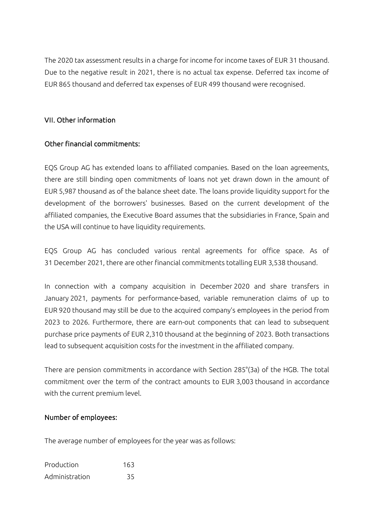The 2020 tax assessment results in a charge for income for income taxes of EUR 31 thousand. Due to the negative result in 2021, there is no actual tax expense. Deferred tax income of EUR 865 thousand and deferred tax expenses of EUR 499 thousand were recognised.

### VII. Other information

### Other financial commitments:

EQS Group AG has extended loans to affiliated companies. Based on the loan agreements, there are still binding open commitments of loans not yet drawn down in the amount of EUR 5,987 thousand as of the balance sheet date. The loans provide liquidity support for the development of the borrowers' businesses. Based on the current development of the affiliated companies, the Executive Board assumes that the subsidiaries in France, Spain and the USA will continue to have liquidity requirements.

EQS Group AG has concluded various rental agreements for office space. As of 31 December 2021, there are other financial commitments totalling EUR 3,538 thousand.

In connection with a company acquisition in December 2020 and share transfers in January 2021, payments for performance-based, variable remuneration claims of up to EUR 920 thousand may still be due to the acquired company's employees in the period from 2023 to 2026. Furthermore, there are earn-out components that can lead to subsequent purchase price payments of EUR 2,310 thousand at the beginning of 2023. Both transactions lead to subsequent acquisition costs for the investment in the affiliated company.

There are pension commitments in accordance with Section 285°(3a) of the HGB. The total commitment over the term of the contract amounts to EUR 3,003 thousand in accordance with the current premium level.

#### Number of employees:

The average number of employees for the year was as follows:

| Production     | 163 |
|----------------|-----|
| Administration | 35  |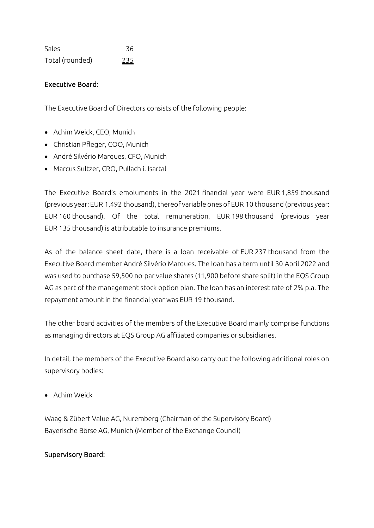| Sales           | 36  |
|-----------------|-----|
| Total (rounded) | 235 |

### Executive Board:

The Executive Board of Directors consists of the following people:

- Achim Weick, CEO, Munich
- Christian Pfleger, COO, Munich
- André Silvério Marques, CFO, Munich
- Marcus Sultzer, CRO, Pullach i. Isartal

The Executive Board's emoluments in the 2021 financial year were EUR 1,859 thousand (previous year: EUR 1,492 thousand), thereof variable ones of EUR 10 thousand (previous year: EUR 160 thousand). Of the total remuneration, EUR 198 thousand (previous year EUR 135 thousand) is attributable to insurance premiums.

As of the balance sheet date, there is a loan receivable of EUR 237 thousand from the Executive Board member André Silvério Marques. The loan has a term until 30 April 2022 and was used to purchase 59,500 no-par value shares (11,900 before share split) in the EQS Group AG as part of the management stock option plan. The loan has an interest rate of 2% p.a. The repayment amount in the financial year was EUR 19 thousand.

The other board activities of the members of the Executive Board mainly comprise functions as managing directors at EQS Group AG affiliated companies or subsidiaries.

In detail, the members of the Executive Board also carry out the following additional roles on supervisory bodies:

• Achim Weick

Waag & Zübert Value AG, Nuremberg (Chairman of the Supervisory Board) Bayerische Börse AG, Munich (Member of the Exchange Council)

#### Supervisory Board: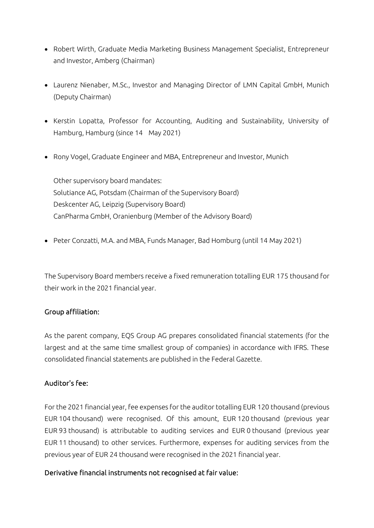- Robert Wirth, Graduate Media Marketing Business Management Specialist, Entrepreneur and Investor, Amberg (Chairman)
- Laurenz Nienaber, M.Sc., Investor and Managing Director of LMN Capital GmbH, Munich (Deputy Chairman)
- Kerstin Lopatta, Professor for Accounting, Auditing and Sustainability, University of Hamburg, Hamburg (since 14 May 2021)
- Rony Vogel, Graduate Engineer and MBA, Entrepreneur and Investor, Munich

Other supervisory board mandates: Solutiance AG, Potsdam (Chairman of the Supervisory Board) Deskcenter AG, Leipzig (Supervisory Board) CanPharma GmbH, Oranienburg (Member of the Advisory Board)

• Peter Conzatti, M.A. and MBA, Funds Manager, Bad Homburg (until 14 May 2021)

The Supervisory Board members receive a fixed remuneration totalling EUR 175 thousand for their work in the 2021 financial year.

### Group affiliation:

As the parent company, EQS Group AG prepares consolidated financial statements (for the largest and at the same time smallest group of companies) in accordance with IFRS. These consolidated financial statements are published in the Federal Gazette.

### Auditor's fee:

For the 2021 financial year, fee expenses for the auditor totalling EUR 120 thousand (previous EUR 104 thousand) were recognised. Of this amount, EUR 120 thousand (previous year EUR 93 thousand) is attributable to auditing services and EUR 0 thousand (previous year EUR 11 thousand) to other services. Furthermore, expenses for auditing services from the previous year of EUR 24 thousand were recognised in the 2021 financial year.

### Derivative financial instruments not recognised at fair value: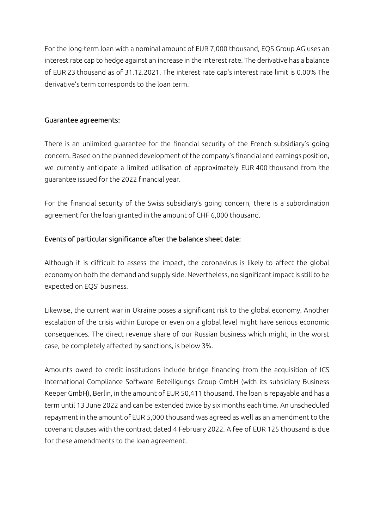For the long-term loan with a nominal amount of EUR 7,000 thousand, EQS Group AG uses an interest rate cap to hedge against an increase in the interest rate. The derivative has a balance of EUR 23 thousand as of 31.12.2021. The interest rate cap's interest rate limit is 0.00% The derivative's term corresponds to the loan term.

### Guarantee agreements:

There is an unlimited guarantee for the financial security of the French subsidiary's going concern. Based on the planned development of the company's financial and earnings position, we currently anticipate a limited utilisation of approximately EUR 400 thousand from the guarantee issued for the 2022 financial year.

For the financial security of the Swiss subsidiary's going concern, there is a subordination agreement for the loan granted in the amount of CHF 6,000 thousand.

### Events of particular significance after the balance sheet date:

Although it is difficult to assess the impact, the coronavirus is likely to affect the global economy on both the demand and supply side. Nevertheless, no significant impact is still to be expected on EQS' business.

Likewise, the current war in Ukraine poses a significant risk to the global economy. Another escalation of the crisis within Europe or even on a global level might have serious economic consequences. The direct revenue share of our Russian business which might, in the worst case, be completely affected by sanctions, is below 3%.

Amounts owed to credit institutions include bridge financing from the acquisition of ICS International Compliance Software Beteiligungs Group GmbH (with its subsidiary Business Keeper GmbH), Berlin, in the amount of EUR 50,411 thousand. The loan is repayable and has a term until 13 June 2022 and can be extended twice by six months each time. An unscheduled repayment in the amount of EUR 5,000 thousand was agreed as well as an amendment to the covenant clauses with the contract dated 4 February 2022. A fee of EUR 125 thousand is due for these amendments to the loan agreement.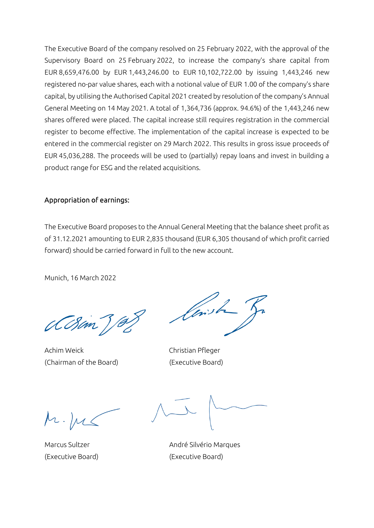The Executive Board of the company resolved on 25 February 2022, with the approval of the Supervisory Board on 25 February 2022, to increase the company's share capital from EUR 8,659,476.00 by EUR 1,443,246.00 to EUR 10,102,722.00 by issuing 1,443,246 new registered no-par value shares, each with a notional value of EUR 1.00 of the company's share capital, by utilising the Authorised Capital 2021 created by resolution of the company's Annual General Meeting on 14 May 2021. A total of 1,364,736 (approx. 94.6%) of the 1,443,246 new shares offered were placed. The capital increase still requires registration in the commercial register to become effective. The implementation of the capital increase is expected to be entered in the commercial register on 29 March 2022. This results in gross issue proceeds of EUR 45,036,288. The proceeds will be used to (partially) repay loans and invest in building a product range for ESG and the related acquisitions.

### Appropriation of earnings:

The Executive Board proposes to the Annual General Meeting that the balance sheet profit as of 31.12.2021 amounting to EUR 2,835 thousand (EUR 6,305 thousand of which profit carried forward) should be carried forward in full to the new account.

Munich, 16 March 2022

CCSan)

Achim Weick Christian Pfleger (Chairman of the Board) (Executive Board)

l brist

Marcus Sultzer **André Silvério Marques** (Executive Board) (Executive Board)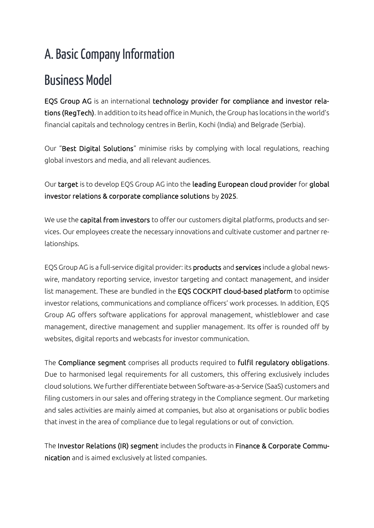# A. Basic Company Information

# Business Model

EQS Group AG is an international technology provider for compliance and investor relations (RegTech). In addition to its head office in Munich, the Group has locations in the world's financial capitals and technology centres in Berlin, Kochi (India) and Belgrade (Serbia).

Our "Best Digital Solutions" minimise risks by complying with local regulations, reaching global investors and media, and all relevant audiences.

Our target is to develop EQS Group AG into the leading European cloud provider for global investor relations & corporate compliance solutions by 2025.

We use the capital from investors to offer our customers digital platforms, products and services. Our employees create the necessary innovations and cultivate customer and partner relationships.

EQS Group AG is a full-service digital provider: its products and services include a global newswire, mandatory reporting service, investor targeting and contact management, and insider list management. These are bundled in the EQS COCKPIT cloud-based platform to optimise investor relations, communications and compliance officers' work processes. In addition, EQS Group AG offers software applications for approval management, whistleblower and case management, directive management and supplier management. Its offer is rounded off by websites, digital reports and webcasts for investor communication.

The Compliance segment comprises all products required to fulfil regulatory obligations. Due to harmonised legal requirements for all customers, this offering exclusively includes cloud solutions. We further differentiate between Software-as-a-Service (SaaS) customers and filing customers in our sales and offering strategy in the Compliance segment. Our marketing and sales activities are mainly aimed at companies, but also at organisations or public bodies that invest in the area of compliance due to legal regulations or out of conviction.

The Investor Relations (IR) segment includes the products in Finance & Corporate Communication and is aimed exclusively at listed companies.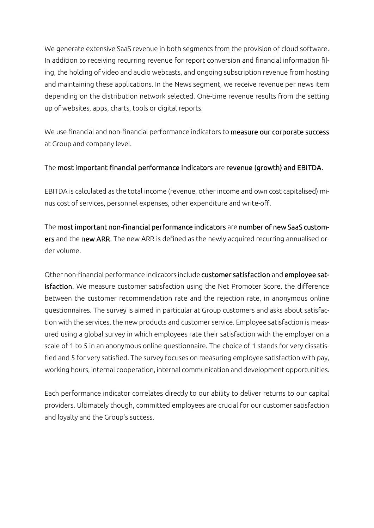We generate extensive SaaS revenue in both segments from the provision of cloud software. In addition to receiving recurring revenue for report conversion and financial information filing, the holding of video and audio webcasts, and ongoing subscription revenue from hosting and maintaining these applications. In the News segment, we receive revenue per news item depending on the distribution network selected. One-time revenue results from the setting up of websites, apps, charts, tools or digital reports.

We use financial and non-financial performance indicators to **measure our corporate success** at Group and company level.

### The most important financial performance indicators are revenue (growth) and EBITDA.

EBITDA is calculated as the total income (revenue, other income and own cost capitalised) minus cost of services, personnel expenses, other expenditure and write-off.

The most important non-financial performance indicators are number of new SaaS customers and the new ARR. The new ARR is defined as the newly acquired recurring annualised order volume.

Other non-financial performance indicators include customer satisfaction and employee satisfaction. We measure customer satisfaction using the Net Promoter Score, the difference between the customer recommendation rate and the rejection rate, in anonymous online questionnaires. The survey is aimed in particular at Group customers and asks about satisfaction with the services, the new products and customer service. Employee satisfaction is measured using a global survey in which employees rate their satisfaction with the employer on a scale of 1 to 5 in an anonymous online questionnaire. The choice of 1 stands for very dissatisfied and 5 for very satisfied. The survey focuses on measuring employee satisfaction with pay, working hours, internal cooperation, internal communication and development opportunities.

Each performance indicator correlates directly to our ability to deliver returns to our capital providers. Ultimately though, committed employees are crucial for our customer satisfaction and loyalty and the Group's success.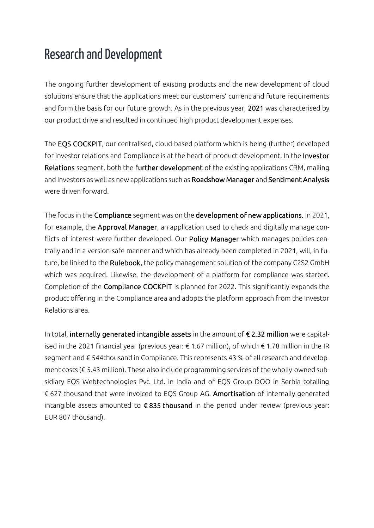### Research and Development

The ongoing further development of existing products and the new development of cloud solutions ensure that the applications meet our customers' current and future requirements and form the basis for our future growth. As in the previous year, 2021 was characterised by our product drive and resulted in continued high product development expenses.

The EQS COCKPIT, our centralised, cloud-based platform which is being (further) developed for investor relations and Compliance is at the heart of product development. In the Investor Relations segment, both the further development of the existing applications CRM, mailing and Investors as well as new applications such as Roadshow Manager and Sentiment Analysis were driven forward.

The focus in the Compliance segment was on the development of new applications. In 2021, for example, the Approval Manager, an application used to check and digitally manage conflicts of interest were further developed. Our Policy Manager which manages policies centrally and in a version-safe manner and which has already been completed in 2021, will, in future, be linked to the Rulebook, the policy management solution of the company C2S2 GmbH which was acquired. Likewise, the development of a platform for compliance was started. Completion of the Compliance COCKPIT is planned for 2022. This significantly expands the product offering in the Compliance area and adopts the platform approach from the Investor Relations area.

In total, internally generated intangible assets in the amount of € 2.32 million were capitalised in the 2021 financial year (previous year: € 1.67 million), of which € 1.78 million in the IR segment and € 544thousand in Compliance. This represents 43 % of all research and development costs (€ 5.43 million). These also include programming services of the wholly-owned subsidiary EQS Webtechnologies Pvt. Ltd. in India and of EQS Group DOO in Serbia totalling € 627 thousand that were invoiced to EQS Group AG. Amortisation of internally generated intangible assets amounted to  $\epsilon$  835 thousand in the period under review (previous year: EUR 807 thousand).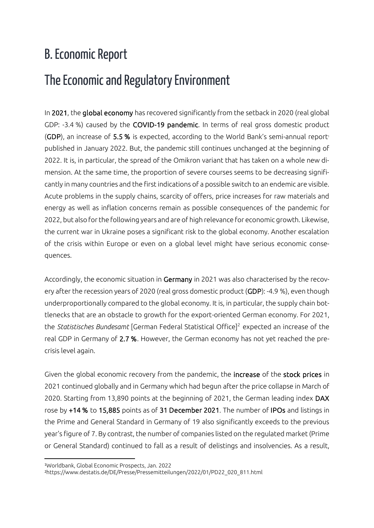# B. Economic Report

# The Economic and Regulatory Environment

In 2021, the global economy has recovered significantly from the setback in 2020 (real global GDP: -3.4 %) caused by the COVID-19 pandemic. In terms of real gross domestic product (GDP), an increase of  $5.5$  % is expected, according to the World Bank's semi-annual report<sup>1</sup> published in January 2022. But, the pandemic still continues unchanged at the beginning of 2022. It is, in particular, the spread of the Omikron variant that has taken on a whole new dimension. At the same time, the proportion of severe courses seems to be decreasing significantly in many countries and the first indications of a possible switch to an endemic are visible. Acute problems in the supply chains, scarcity of offers, price increases for raw materials and energy as well as inflation concerns remain as possible consequences of the pandemic for 2022, but also for the following years and are of high relevance for economic growth. Likewise, the current war in Ukraine poses a significant risk to the global economy. Another escalation of the crisis within Europe or even on a global level might have serious economic consequences.

Accordingly, the economic situation in Germany in 2021 was also characterised by the recovery after the recession years of 2020 (real gross domestic product (GDP): -4.9 %), even though underproportionally compared to the global economy. It is, in particular, the supply chain bottlenecks that are an obstacle to growth for the export-oriented German economy. For 2021, the *Statistisches Bundesamt* [German Federal Statistical Office]<sup>2</sup> expected an increase of the real GDP in Germany of 2.7 %. However, the German economy has not yet reached the precrisis level again.

Given the global economic recovery from the pandemic, the increase of the stock prices in 2021 continued globally and in Germany which had begun after the price collapse in March of 2020. Starting from 13,890 points at the beginning of 2021, the German leading index DAX rose by +14 % to 15,885 points as of 31 December 2021. The number of IPOs and listings in the Prime and General Standard in Germany of 19 also significantly exceeds to the previous year's figure of 7. By contrast, the number of companies listed on the regulated market (Prime or General Standard) continued to fall as a result of delistings and insolvencies. As a result,

<sup>1</sup>Worldbank, Global Economic Prospects, Jan. 2022

<sup>2</sup>https://www.destatis.de/DE/Presse/Pressemitteilungen/2022/01/PD22\_020\_811.html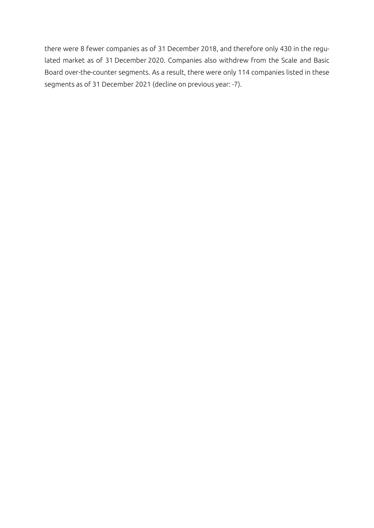there were 8 fewer companies as of 31 December 2018, and therefore only 430 in the regulated market as of 31 December 2020. Companies also withdrew from the Scale and Basic Board over-the-counter segments. As a result, there were only 114 companies listed in these segments as of 31 December 2021 (decline on previous year: -7).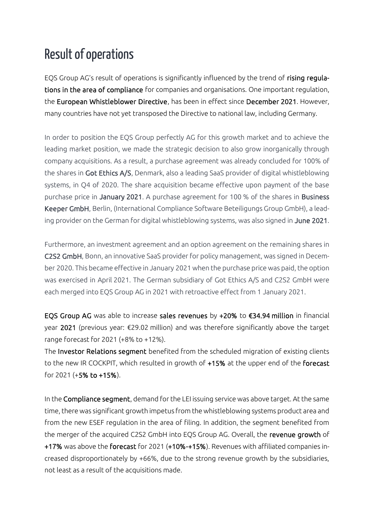### Result of operations

EQS Group AG's result of operations is significantly influenced by the trend of rising regulations in the area of compliance for companies and organisations. One important regulation, the European Whistleblower Directive, has been in effect since December 2021. However, many countries have not yet transposed the Directive to national law, including Germany.

In order to position the EQS Group perfectly AG for this growth market and to achieve the leading market position, we made the strategic decision to also grow inorganically through company acquisitions. As a result, a purchase agreement was already concluded for 100% of the shares in Got Ethics A/S, Denmark, also a leading SaaS provider of digital whistleblowing systems, in Q4 of 2020. The share acquisition became effective upon payment of the base purchase price in January 2021. A purchase agreement for 100 % of the shares in Business Keeper GmbH, Berlin, (International Compliance Software Beteiligungs Group GmbH), a leading provider on the German for digital whistleblowing systems, was also signed in June 2021.

Furthermore, an investment agreement and an option agreement on the remaining shares in C2S2 GmbH, Bonn, an innovative SaaS provider for policy management, was signed in December 2020. This became effective in January 2021 when the purchase price was paid, the option was exercised in April 2021. The German subsidiary of Got Ethics A/S and C2S2 GmbH were each merged into EQS Group AG in 2021 with retroactive effect from 1 January 2021.

EQS Group AG was able to increase sales revenues by +20% to €34.94 million in financial year 2021 (previous year: €29.02 million) and was therefore significantly above the target range forecast for 2021 (+8% to +12%).

The Investor Relations segment benefited from the scheduled migration of existing clients to the new IR COCKPIT, which resulted in growth of +15% at the upper end of the forecast for 2021 (+5% to +15%).

In the Compliance segment, demand for the LEI issuing service was above target. At the same time, there was significant growth impetus from the whistleblowing systems product area and from the new ESEF regulation in the area of filing. In addition, the segment benefited from the merger of the acquired C2S2 GmbH into EQS Group AG. Overall, the revenue growth of +17% was above the forecast for 2021 (+10%-+15%). Revenues with affiliated companies increased disproportionately by +66%, due to the strong revenue growth by the subsidiaries, not least as a result of the acquisitions made.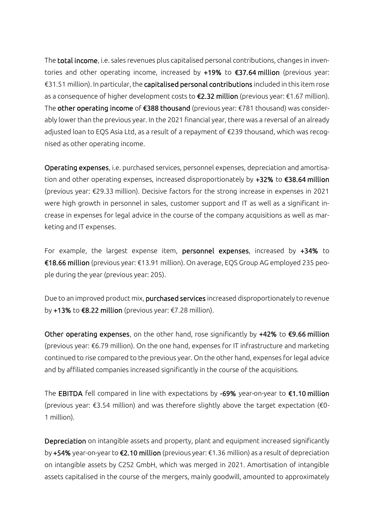The total income, i.e. sales revenues plus capitalised personal contributions, changes in inventories and other operating income, increased by +19% to €37.64 million (previous year: €31.51 million). In particular, the capitalised personal contributions included in this item rose as a consequence of higher development costs to €2.32 million (previous year: €1.67 million). The other operating income of €388 thousand (previous year: €781 thousand) was considerably lower than the previous year. In the 2021 financial year, there was a reversal of an already adjusted loan to EQS Asia Ltd, as a result of a repayment of €239 thousand, which was recognised as other operating income.

Operating expenses, i.e. purchased services, personnel expenses, depreciation and amortisation and other operating expenses, increased disproportionately by +32% to €38.64 million (previous year: €29.33 million). Decisive factors for the strong increase in expenses in 2021 were high growth in personnel in sales, customer support and IT as well as a significant increase in expenses for legal advice in the course of the company acquisitions as well as marketing and IT expenses.

For example, the largest expense item, personnel expenses, increased by +34% to €18.66 million (previous year: €13.91 million). On average, EQS Group AG employed 235 people during the year (previous year: 205).

Due to an improved product mix, purchased services increased disproportionately to revenue by +13% to €8.22 million (previous year: €7.28 million).

Other operating expenses, on the other hand, rose significantly by +42% to €9.66 million (previous year: €6.79 million). On the one hand, expenses for IT infrastructure and marketing continued to rise compared to the previous year. On the other hand, expenses for legal advice and by affiliated companies increased significantly in the course of the acquisitions.

The EBITDA fell compared in line with expectations by -69% year-on-year to  $\epsilon$ 1.10 million (previous year: €3.54 million) and was therefore slightly above the target expectation (€0- 1 million).

Depreciation on intangible assets and property, plant and equipment increased significantly by +54% year-on-year to €2.10 million (previous year: €1.36 million) as a result of depreciation on intangible assets by C2S2 GmbH, which was merged in 2021. Amortisation of intangible assets capitalised in the course of the mergers, mainly goodwill, amounted to approximately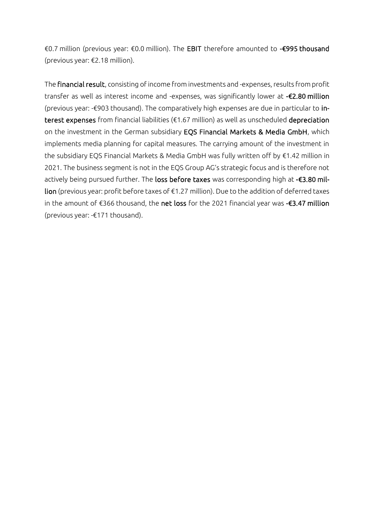€0.7 million (previous year: €0.0 million). The EBIT therefore amounted to -€995 thousand (previous year: €2.18 million).

The financial result, consisting of income from investments and -expenses, results from profit transfer as well as interest income and -expenses, was significantly lower at -€2.80 million (previous year: -€903 thousand). The comparatively high expenses are due in particular to interest expenses from financial liabilities (€1.67 million) as well as unscheduled depreciation on the investment in the German subsidiary EQS Financial Markets & Media GmbH, which implements media planning for capital measures. The carrying amount of the investment in the subsidiary EQS Financial Markets & Media GmbH was fully written off by €1.42 million in 2021. The business segment is not in the EQS Group AG's strategic focus and is therefore not actively being pursued further. The loss before taxes was corresponding high at -€3.80 million (previous year: profit before taxes of €1.27 million). Due to the addition of deferred taxes in the amount of €366 thousand, the net loss for the 2021 financial year was -€3.47 million (previous year: -€171 thousand).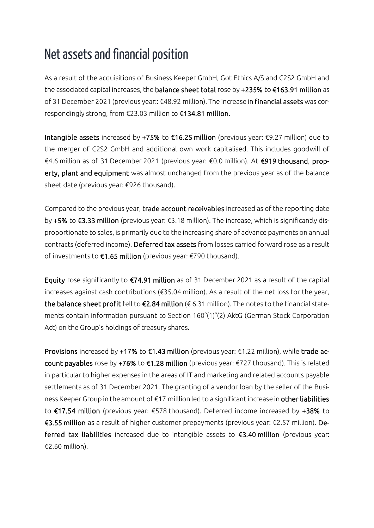### Net assets and financial position

As a result of the acquisitions of Business Keeper GmbH, Got Ethics A/S and C2S2 GmbH and the associated capital increases, the balance sheet total rose by +235% to €163.91 million as of 31 December 2021 (previous year:: €48.92 million). The increase in financial assets was correspondingly strong, from €23.03 million to €134.81 million.

Intangible assets increased by +75% to €16.25 million (previous year: €9.27 million) due to the merger of C2S2 GmbH and additional own work capitalised. This includes goodwill of €4.6 million as of 31 December 2021 (previous year: €0.0 million). At €919 thousand, property, plant and equipment was almost unchanged from the previous year as of the balance sheet date (previous year: €926 thousand).

Compared to the previous year, trade account receivables increased as of the reporting date by +5% to €3.33 million (previous year: €3.18 million). The increase, which is significantly disproportionate to sales, is primarily due to the increasing share of advance payments on annual contracts (deferred income). Deferred tax assets from losses carried forward rose as a result of investments to €1.65 million (previous year: €790 thousand).

Equity rose significantly to €74.91 million as of 31 December 2021 as a result of the capital increases against cash contributions (€35.04 million). As a result of the net loss for the year, the balance sheet profit fell to  $\epsilon$ 2.84 million ( $\epsilon$  6.31 million). The notes to the financial statements contain information pursuant to Section 160°(1)°(2) AktG (German Stock Corporation Act) on the Group's holdings of treasury shares.

Provisions increased by +17% to €1.43 million (previous year: €1.22 million), while trade account payables rose by +76% to €1.28 million (previous year: €727 thousand). This is related in particular to higher expenses in the areas of IT and marketing and related accounts payable settlements as of 31 December 2021. The granting of a vendor loan by the seller of the Business Keeper Group in the amount of €17 milllion led to a significant increase in other liabilities to €17.54 million (previous year: €578 thousand). Deferred income increased by +38% to €3.55 million as a result of higher customer prepayments (previous year: €2.57 million). Deferred tax liabilities increased due to intangible assets to €3.40 million (previous year: €2.60 million).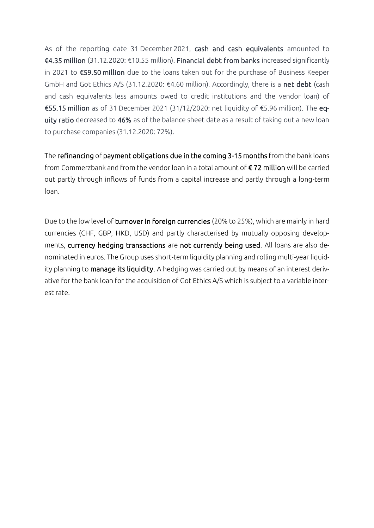As of the reporting date 31 December 2021, cash and cash equivalents amounted to €4.35 million (31.12.2020: €10.55 million). Financial debt from banks increased significantly in 2021 to €59.50 million due to the loans taken out for the purchase of Business Keeper GmbH and Got Ethics A/S (31.12.2020: €4.60 million). Accordingly, there is a net debt (cash and cash equivalents less amounts owed to credit institutions and the vendor loan) of €55.15 million as of 31 December 2021 (31/12/2020: net liquidity of €5.96 million). The equity ratio decreased to 46% as of the balance sheet date as a result of taking out a new loan to purchase companies (31.12.2020: 72%).

The refinancing of payment obligations due in the coming 3-15 months from the bank loans from Commerzbank and from the vendor loan in a total amount of  $\epsilon$  72 million will be carried out partly through inflows of funds from a capital increase and partly through a long-term loan.

Due to the low level of turnover in foreign currencies (20% to 25%), which are mainly in hard currencies (CHF, GBP, HKD, USD) and partly characterised by mutually opposing developments, currency hedging transactions are not currently being used. All loans are also denominated in euros. The Group uses short-term liquidity planning and rolling multi-year liquidity planning to manage its liquidity. A hedging was carried out by means of an interest derivative for the bank loan for the acquisition of Got Ethics A/S which is subject to a variable interest rate.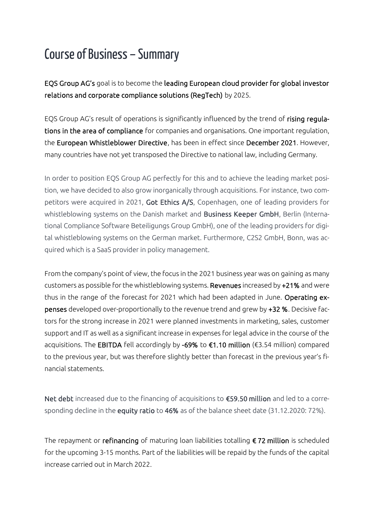# Course of Business – Summary

EQS Group AG's goal is to become the leading European cloud provider for global investor relations and corporate compliance solutions (RegTech) by 2025.

EQS Group AG's result of operations is significantly influenced by the trend of rising regulations in the area of compliance for companies and organisations. One important regulation, the European Whistleblower Directive, has been in effect since December 2021. However, many countries have not yet transposed the Directive to national law, including Germany.

In order to position EQS Group AG perfectly for this and to achieve the leading market position, we have decided to also grow inorganically through acquisitions. For instance, two competitors were acquired in 2021, Got Ethics A/S, Copenhagen, one of leading providers for whistleblowing systems on the Danish market and Business Keeper GmbH, Berlin (International Compliance Software Beteiligungs Group GmbH), one of the leading providers for digital whistleblowing systems on the German market. Furthermore, C2S2 GmbH, Bonn, was acquired which is a SaaS provider in policy management.

From the company's point of view, the focus in the 2021 business year was on gaining as many customers as possible for the whistleblowing systems. Revenues increased by +21% and were thus in the range of the forecast for 2021 which had been adapted in June. Operating expenses developed over-proportionally to the revenue trend and grew by +32 %. Decisive factors for the strong increase in 2021 were planned investments in marketing, sales, customer support and IT as well as a significant increase in expenses for legal advice in the course of the acquisitions. The EBITDA fell accordingly by -69% to €1.10 million (€3.54 million) compared to the previous year, but was therefore slightly better than forecast in the previous year's financial statements.

Net debt increased due to the financing of acquisitions to €59.50 million and led to a corresponding decline in the equity ratio to 46% as of the balance sheet date (31.12.2020: 72%).

The repayment or refinancing of maturing loan liabilities totalling €72 million is scheduled for the upcoming 3-15 months. Part of the liabilities will be repaid by the funds of the capital increase carried out in March 2022.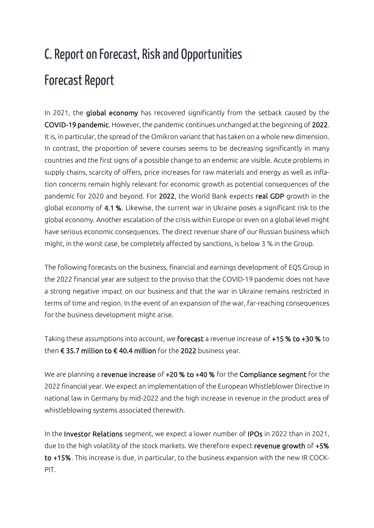# C. Report on Forecast, Risk and Opportunities Forecast Report

In 2021, the global economy has recovered significantly from the setback caused by the COVID-19 pandemic. However, the pandemic continues unchanged at the beginning of 2022. It is, in particular, the spread of the Omikron variant that has taken on a whole new dimension. In contrast, the proportion of severe courses seems to be decreasing significantly in many countries and the first signs of a possible change to an endemic are visible. Acute problems in supply chains, scarcity of offers, price increases for raw materials and energy as well as inflation concerns remain highly relevant for economic growth as potential consequences of the pandemic for 2020 and beyond. For 2022, the World Bank expects real GDP growth in the global economy of 4.1 %. Likewise, the current war in Ukraine poses a significant risk to the global economy. Another escalation of the crisis within Europe or even on a global level might have serious economic consequences. The direct revenue share of our Russian business which might, in the worst case, be completely affected by sanctions, is below 3 % in the Group.

The following forecasts on the business, financial and earnings development of EQS Group in the 2022 financial year are subject to the proviso that the COVID-19 pandemic does not have a strong negative impact on our business and that the war in Ukraine remains restricted in terms of time and region. In the event of an expansion of the war, far-reaching consequences for the business development might arise.

Taking these assumptions into account, we forecast a revenue increase of +15 % to +30 % to then € 35.7 million to € 40.4 million for the 2022 business year.

We are planning a revenue increase of +20 % to +40 % for the Compliance segment for the 2022 financial year. We expect an implementation of the European Whistleblower Directive in national law in Germany by mid-2022 and the high increase in revenue in the product area of whistleblowing systems associated therewith.

In the Investor Relations segment, we expect a lower number of IPOs in 2022 than in 2021, due to the high volatility of the stock markets. We therefore expect revenue growth of +5% to +15%. This increase is due, in particular, to the business expansion with the new IR COCK-PIT.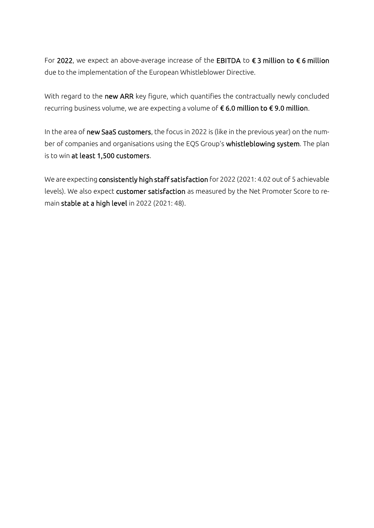For 2022, we expect an above-average increase of the EBITDA to  $\epsilon$  3 million to  $\epsilon$  6 million due to the implementation of the European Whistleblower Directive.

With regard to the new ARR key figure, which quantifies the contractually newly concluded recurring business volume, we are expecting a volume of € 6.0 million to € 9.0 million.

In the area of new SaaS customers, the focus in 2022 is (like in the previous year) on the number of companies and organisations using the EQS Group's whistleblowing system. The plan is to win at least 1,500 customers.

We are expecting consistently high staff satisfaction for 2022 (2021: 4.02 out of 5 achievable levels). We also expect customer satisfaction as measured by the Net Promoter Score to remain stable at a high level in 2022 (2021: 48).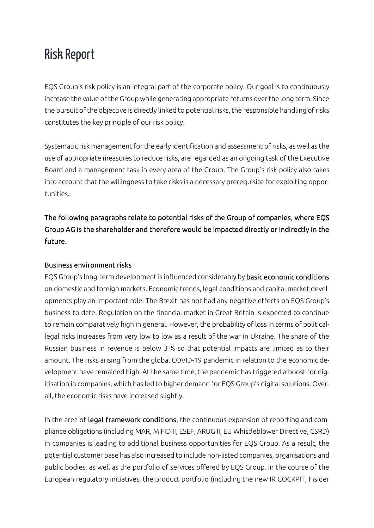### Risk Report

EQS Group's risk policy is an integral part of the corporate policy. Our goal is to continuously increase the value of the Group while generating appropriate returns over the long term. Since the pursuit of the objective is directly linked to potential risks, the responsible handling of risks constitutes the key principle of our risk policy.

Systematic risk management for the early identification and assessment of risks, as well as the use of appropriate measures to reduce risks, are regarded as an ongoing task of the Executive Board and a management task in every area of the Group. The Group's risk policy also takes into account that the willingness to take risks is a necessary prerequisite for exploiting opportunities.

The following paragraphs relate to potential risks of the Group of companies, where EQS Group AG is the shareholder and therefore would be impacted directly or indirectly in the future.

### Business environment risks

EQS Group's long-term development is influenced considerably by basic economic conditions on domestic and foreign markets. Economic trends, legal conditions and capital market developments play an important role. The Brexit has not had any negative effects on EQS Group's business to date. Regulation on the financial market in Great Britain is expected to continue to remain comparatively high in general. However, the probability of loss in terms of politicallegal risks increases from very low to low as a result of the war in Ukraine. The share of the Russian business in revenue is below 3 % so that potential impacts are limited as to their amount. The risks arising from the global COVID-19 pandemic in relation to the economic development have remained high. At the same time, the pandemic has triggered a boost for digitisation in companies, which has led to higher demand for EQS Group's digital solutions. Overall, the economic risks have increased slightly.

In the area of legal framework conditions, the continuous expansion of reporting and compliance obligations (including MAR, MiFID II, ESEF, ARUG II, EU Whistleblower Directive, CSRD) in companies is leading to additional business opportunities for EQS Group. As a result, the potential customer base has also increased to include non-listed companies, organisations and public bodies, as well as the portfolio of services offered by EQS Group. In the course of the European regulatory initiatives, the product portfolio (including the new IR COCKPIT, Insider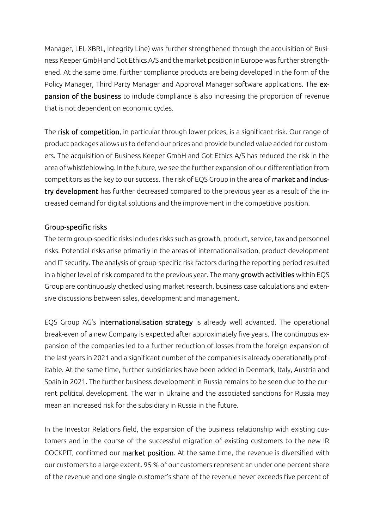Manager, LEI, XBRL, Integrity Line) was further strengthened through the acquisition of Business Keeper GmbH and Got Ethics A/S and the market position in Europe was further strengthened. At the same time, further compliance products are being developed in the form of the Policy Manager, Third Party Manager and Approval Manager software applications. The expansion of the business to include compliance is also increasing the proportion of revenue that is not dependent on economic cycles.

The risk of competition, in particular through lower prices, is a significant risk. Our range of product packages allows us to defend our prices and provide bundled value added for customers. The acquisition of Business Keeper GmbH and Got Ethics A/S has reduced the risk in the area of whistleblowing. In the future, we see the further expansion of our differentiation from competitors as the key to our success. The risk of EQS Group in the area of market and industry development has further decreased compared to the previous year as a result of the increased demand for digital solutions and the improvement in the competitive position.

### Group-specific risks

The term group-specific risks includes risks such as growth, product, service, tax and personnel risks. Potential risks arise primarily in the areas of internationalisation, product development and IT security. The analysis of group-specific risk factors during the reporting period resulted in a higher level of risk compared to the previous year. The many growth activities within EQS Group are continuously checked using market research, business case calculations and extensive discussions between sales, development and management.

EQS Group AG's internationalisation strategy is already well advanced. The operational break-even of a new Company is expected after approximately five years. The continuous expansion of the companies led to a further reduction of losses from the foreign expansion of the last years in 2021 and a significant number of the companies is already operationally profitable. At the same time, further subsidiaries have been added in Denmark, Italy, Austria and Spain in 2021. The further business development in Russia remains to be seen due to the current political development. The war in Ukraine and the associated sanctions for Russia may mean an increased risk for the subsidiary in Russia in the future.

In the Investor Relations field, the expansion of the business relationship with existing customers and in the course of the successful migration of existing customers to the new IR COCKPIT, confirmed our market position. At the same time, the revenue is diversified with our customers to a large extent. 95 % of our customers represent an under one percent share of the revenue and one single customer's share of the revenue never exceeds five percent of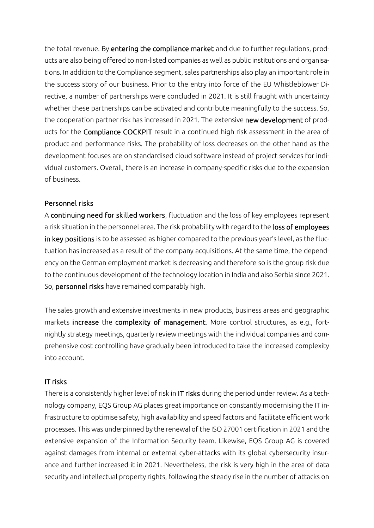the total revenue. By entering the compliance market and due to further regulations, products are also being offered to non-listed companies as well as public institutions and organisations. In addition to the Compliance segment, sales partnerships also play an important role in the success story of our business. Prior to the entry into force of the EU Whistleblower Directive, a number of partnerships were concluded in 2021. It is still fraught with uncertainty whether these partnerships can be activated and contribute meaningfully to the success. So, the cooperation partner risk has increased in 2021. The extensive new development of products for the Compliance COCKPIT result in a continued high risk assessment in the area of product and performance risks. The probability of loss decreases on the other hand as the development focuses are on standardised cloud software instead of project services for individual customers. Overall, there is an increase in company-specific risks due to the expansion of business.

### Personnel risks

A continuing need for skilled workers, fluctuation and the loss of key employees represent a risk situation in the personnel area. The risk probability with regard to the loss of employees in key positions is to be assessed as higher compared to the previous year's level, as the fluctuation has increased as a result of the company acquisitions. At the same time, the dependency on the German employment market is decreasing and therefore so is the group risk due to the continuous development of the technology location in India and also Serbia since 2021. So, personnel risks have remained comparably high.

The sales growth and extensive investments in new products, business areas and geographic markets increase the complexity of management. More control structures, as e.g., fortnightly strategy meetings, quarterly review meetings with the individual companies and comprehensive cost controlling have gradually been introduced to take the increased complexity into account.

### IT risks

There is a consistently higher level of risk in IT risks during the period under review. As a technology company, EQS Group AG places great importance on constantly modernising the IT infrastructure to optimise safety, high availability and speed factors and facilitate efficient work processes. This was underpinned by the renewal of the ISO 27001 certification in 2021 and the extensive expansion of the Information Security team. Likewise, EQS Group AG is covered against damages from internal or external cyber-attacks with its global cybersecurity insurance and further increased it in 2021. Nevertheless, the risk is very high in the area of data security and intellectual property rights, following the steady rise in the number of attacks on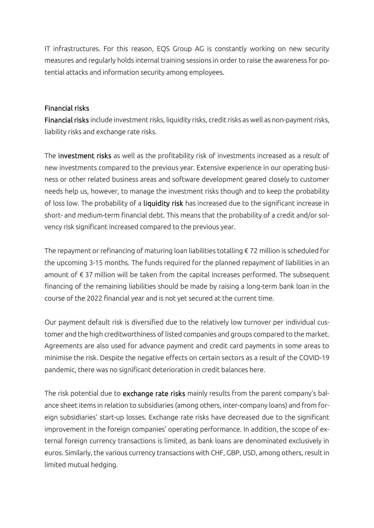IT infrastructures. For this reason, EQS Group AG is constantly working on new security measures and regularly holds internal training sessions in order to raise the awareness for potential attacks and information security among employees.

### Financial risks

Financial risks include investment risks, liquidity risks, credit risks as well as non-payment risks, liability risks and exchange rate risks.

The investment risks as well as the profitability risk of investments increased as a result of new investments compared to the previous year. Extensive experience in our operating business or other related business areas and software development geared closely to customer needs help us, however, to manage the investment risks though and to keep the probability of loss low. The probability of a liquidity risk has increased due to the significant increase in short- and medium-term financial debt. This means that the probability of a credit and/or solvency risk significant increased compared to the previous year.

The repayment or refinancing of maturing loan liabilities totalling  $\epsilon$  72 million is scheduled for the upcoming 3-15 months. The funds required for the planned repayment of liabilities in an amount of € 37 million will be taken from the capital increases performed. The subsequent financing of the remaining liabilities should be made by raising a long-term bank loan in the course of the 2022 financial year and is not yet secured at the current time.

Our payment default risk is diversified due to the relatively low turnover per individual customer and the high creditworthiness of listed companies and groups compared to the market. Agreements are also used for advance payment and credit card payments in some areas to minimise the risk. Despite the negative effects on certain sectors as a result of the COVID-19 pandemic, there was no significant deterioration in credit balances here.

The risk potential due to exchange rate risks mainly results from the parent company's balance sheet items in relation to subsidiaries (among others, inter-company loans) and from foreign subsidiaries' start-up losses. Exchange rate risks have decreased due to the significant improvement in the foreign companies' operating performance. In addition, the scope of external foreign currency transactions is limited, as bank loans are denominated exclusively in euros. Similarly, the various currency transactions with CHF, GBP, USD, among others, result in limited mutual hedging.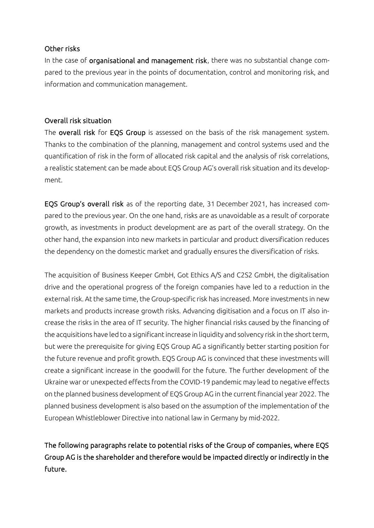### Other risks

In the case of organisational and management risk, there was no substantial change compared to the previous year in the points of documentation, control and monitoring risk, and information and communication management.

### Overall risk situation

The overall risk for EQS Group is assessed on the basis of the risk management system. Thanks to the combination of the planning, management and control systems used and the quantification of risk in the form of allocated risk capital and the analysis of risk correlations, a realistic statement can be made about EQS Group AG's overall risk situation and its development.

EQS Group's overall risk as of the reporting date, 31 December 2021, has increased compared to the previous year. On the one hand, risks are as unavoidable as a result of corporate growth, as investments in product development are as part of the overall strategy. On the other hand, the expansion into new markets in particular and product diversification reduces the dependency on the domestic market and gradually ensures the diversification of risks.

The acquisition of Business Keeper GmbH, Got Ethics A/S and C2S2 GmbH, the digitalisation drive and the operational progress of the foreign companies have led to a reduction in the external risk. At the same time, the Group-specific risk has increased. More investments in new markets and products increase growth risks. Advancing digitisation and a focus on IT also increase the risks in the area of IT security. The higher financial risks caused by the financing of the acquisitions have led to a significant increase in liquidity and solvency risk in the short term, but were the prerequisite for giving EQS Group AG a significantly better starting position for the future revenue and profit growth. EQS Group AG is convinced that these investments will create a significant increase in the goodwill for the future. The further development of the Ukraine war or unexpected effects from the COVID-19 pandemic may lead to negative effects on the planned business development of EQS Group AG in the current financial year 2022. The planned business development is also based on the assumption of the implementation of the European Whistleblower Directive into national law in Germany by mid-2022.

The following paragraphs relate to potential risks of the Group of companies, where EQS Group AG is the shareholder and therefore would be impacted directly or indirectly in the future.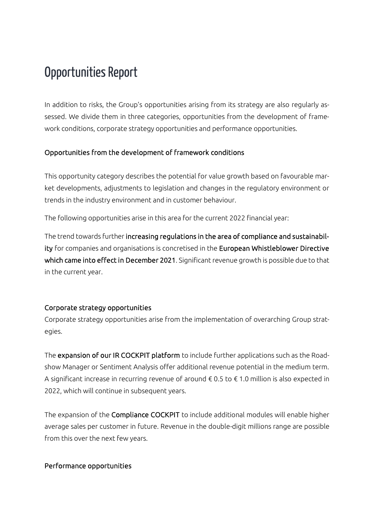### Opportunities Report

In addition to risks, the Group's opportunities arising from its strategy are also regularly assessed. We divide them in three categories, opportunities from the development of framework conditions, corporate strategy opportunities and performance opportunities.

### Opportunities from the development of framework conditions

This opportunity category describes the potential for value growth based on favourable market developments, adjustments to legislation and changes in the regulatory environment or trends in the industry environment and in customer behaviour.

The following opportunities arise in this area for the current 2022 financial year:

The trend towards further increasing regulations in the area of compliance and sustainability for companies and organisations is concretised in the European Whistleblower Directive which came into effect in December 2021. Significant revenue growth is possible due to that in the current year.

### Corporate strategy opportunities

Corporate strategy opportunities arise from the implementation of overarching Group strategies.

The expansion of our IR COCKPIT platform to include further applications such as the Roadshow Manager or Sentiment Analysis offer additional revenue potential in the medium term. A significant increase in recurring revenue of around  $\epsilon$  0.5 to  $\epsilon$  1.0 million is also expected in 2022, which will continue in subsequent years.

The expansion of the Compliance COCKPIT to include additional modules will enable higher average sales per customer in future. Revenue in the double-digit millions range are possible from this over the next few years.

#### Performance opportunities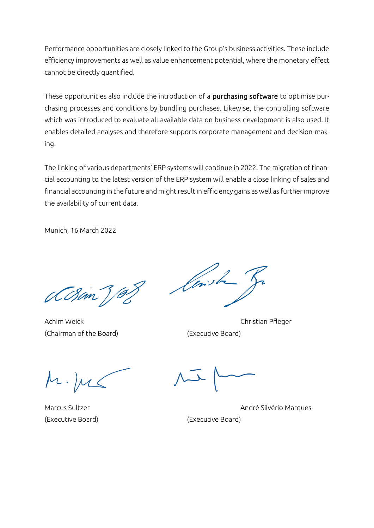Performance opportunities are closely linked to the Group's business activities. These include efficiency improvements as well as value enhancement potential, where the monetary effect cannot be directly quantified.

These opportunities also include the introduction of a purchasing software to optimise purchasing processes and conditions by bundling purchases. Likewise, the controlling software which was introduced to evaluate all available data on business development is also used. It enables detailed analyses and therefore supports corporate management and decision-making.

The linking of various departments' ERP systems will continue in 2022. The migration of financial accounting to the latest version of the ERP system will enable a close linking of sales and financial accounting in the future and might result in efficiency gains as well as further improve the availability of current data.

Munich, 16 March 2022

(CBan)

Achim Weick Christian Pfleger (Chairman of the Board) (Executive Board)

lens t

(Executive Board) (Executive Board)

Marcus Sultzer André Silvério Marques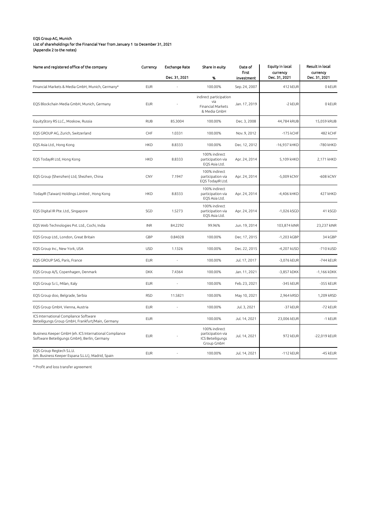#### EQS Group AG, Munich List of shareholdings for the Financial Year from January 1 to December 31, 2021

(Appendix 2 to the notes)

| Name and registered office of the company                                                              | Currency   | <b>Exchange Rate</b> | Share in euity                                                       | Date of<br>first | Equity in local<br>currency | Result in local<br>currency |  |
|--------------------------------------------------------------------------------------------------------|------------|----------------------|----------------------------------------------------------------------|------------------|-----------------------------|-----------------------------|--|
|                                                                                                        |            | Dec. 31, 2021        | %                                                                    | investment       | Dec. 31, 2021               | Dec. 31, 2021               |  |
| Financial Markets & Media GmbH, Munich, Germany*                                                       | <b>EUR</b> |                      | 100.00%                                                              | Sep. 24, 2007    | 412 kEUR                    | 0 kEUR                      |  |
| EQS Blockchain Media GmbH, Munich, Germany                                                             | <b>EUR</b> |                      | indirect participation<br>via<br>Financial Markets<br>& Media GmbH   | Jan. 17, 2019    | -2 kEUR                     | 0 kEUR                      |  |
| EquityStory RS LLC., Moskow, Russia                                                                    | <b>RUB</b> | 85.3004              | 100.00%                                                              | Dec. 3, 2008     | 44,784 kRUB                 | 15,059 kRUB                 |  |
| EQS GROUP AG, Zurich, Switzerland                                                                      | CHF        | 1.0331               | 100.00%                                                              | Nov. 9, 2012     | -175 kCHF                   | 482 kCHF                    |  |
| EQS Asia Ltd., Hong Kong                                                                               | <b>HKD</b> | 8.8333               | 100.00%                                                              | Dec. 12, 2012    | -16,937 kHKD                | -780 kHKD                   |  |
| EQS TodayIR Ltd, Hong Kong                                                                             | <b>HKD</b> | 8.8333               | 100% indirect<br>participation via<br>EQS Asia Ltd.                  | Apr. 24, 2014    | 5,109 kHKD                  | 2,171 kHKD                  |  |
| EQS Group (Shenzhen) Ltd, Shezhen, China                                                               | CNY        | 7.1947               | 100% indirect<br>participation via<br>EQS TodayIR Ltd.               | Apr. 24, 2014    | -5,009 kCNY                 | -608 kCNY                   |  |
| TodayIR (Taiwan) Holdings Limited, Hong Kong                                                           | <b>HKD</b> | 8.8333               | 100% indirect<br>participation via<br>EQS Asia Ltd.                  | Apr. 24, 2014    | -4,406 kHKD                 | 427 kHKD                    |  |
| EQS Digital IR Pte. Ltd., Singapore                                                                    | SGD        | 1.5273               | 100% indirect<br>participation via<br>EQS Asia Ltd.                  | Apr. 24, 2014    | -1,026 kSGD                 | 41 kSGD                     |  |
| EQS Web Technologies Pvt. Ltd., Cochi, India                                                           | <b>INR</b> | 84.2292              | 99.96%                                                               | Jun. 19, 2014    | 103,874 kINR                | 23,237 kINR                 |  |
| EQS Group Ltd., London, Great Britain                                                                  | GBP        | 0.84028              | 100.00%                                                              | Dec. 17, 2015    | -1,203 kGBP                 | 34 kGBP                     |  |
| EQS Group Inc., New York, USA                                                                          | <b>USD</b> | 1.1326               | 100.00%                                                              | Dec. 22, 2015    | -4,207 kUSD                 | -710 kUSD                   |  |
| EQS GROUP SAS, Paris, France                                                                           | <b>EUR</b> |                      | 100.00%                                                              | Jul. 17, 2017    | -3,076 kEUR                 | -744 kEUR                   |  |
| EQS Group A/S, Copenhagen, Denmark                                                                     | <b>DKK</b> | 7.4364               | 100.00%                                                              | Jan. 11, 2021    | -3,857 kDKK                 | -1,166 kDKK                 |  |
| EQS Group S.r.l., Milan, Italy                                                                         | <b>EUR</b> |                      | 100.00%                                                              | Feb. 23, 2021    | -345 kEUR                   | -355 kEUR                   |  |
| EQS Group doo, Belgrade, Serbia                                                                        | <b>RSD</b> | 11.5821              | 100.00%                                                              | May 10, 2021     | 2,964 kRSD                  | 1,209 kRSD                  |  |
| EQS Group GmbH, Vienna, Austria                                                                        | <b>EUR</b> |                      | 100.00%                                                              | Jul. 3, 2021     | -37 kEUR                    | -72 kEUR                    |  |
| ICS International Compliance Software<br>Beteiligungs Group GmbH, Frankfurt/Main, Germany              | <b>EUR</b> |                      | 100.00%                                                              | Jul. 14, 2021    | 23,006 kEUR                 | -1 kEUR                     |  |
| Business Keeper GmbH (eh. ICS International Compliance<br>Software Beteiligungs GmbH), Berlin, Germany | <b>EUR</b> |                      | 100% indirect<br>participation via<br>ICS Beteiligungs<br>Group GmbH | Jul. 14, 2021    | 972 kEUR                    | -22,019 kEUR                |  |
| EOS Group Regtech S.L.U.<br>(eh. Business Keeper Espana S.L.U.), Madrid, Spain                         | <b>EUR</b> |                      | 100.00%                                                              | Jul. 14, 2021    | $-112$ kEUR                 | -45 kEUR                    |  |

\* Profit and loss transfer agreement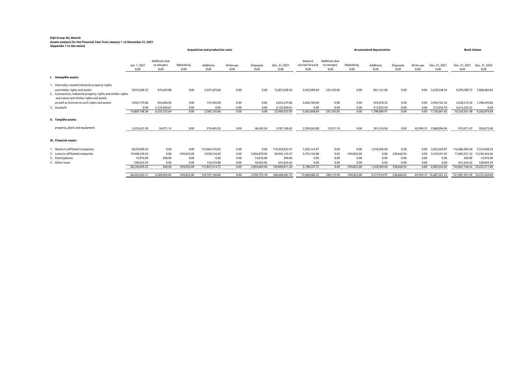#### **EQS Group AG, Munich Assets analysis for the Financial Year from January 1 to December 31, 2021 (Appendix 1 to the notes)**

|                                                                                                                                                                                                | Acquisition and production costs |                                           |                         |                         |                         |                                |                             | Accumulated depreciation                 |                                           |                         |                         |                         |                         | <b>Book Values</b>          |                              |                             |
|------------------------------------------------------------------------------------------------------------------------------------------------------------------------------------------------|----------------------------------|-------------------------------------------|-------------------------|-------------------------|-------------------------|--------------------------------|-----------------------------|------------------------------------------|-------------------------------------------|-------------------------|-------------------------|-------------------------|-------------------------|-----------------------------|------------------------------|-----------------------------|
|                                                                                                                                                                                                | Jan. 1, 2021<br><b>EUR</b>       | Additions due<br>to mergers<br><b>EUR</b> | Rebooking<br><b>EUR</b> | Additions<br><b>EUR</b> | Write-ups<br><b>EUR</b> | <b>Disposals</b><br><b>EUR</b> | Dec. 31, 2021<br><b>EUR</b> | Balance<br>carried forward<br><b>EUR</b> | Additions due<br>to mergers<br><b>EUR</b> | Rebooking<br><b>EUR</b> | Additions<br><b>EUR</b> | Disposals<br><b>EUR</b> | Write-ups<br><b>EUR</b> | Dec. 31, 2021<br><b>EUR</b> | Dec. 31, 2021<br><b>EUR</b>  | Dec. 31, 2020<br><b>EUR</b> |
| Intangible assets                                                                                                                                                                              |                                  |                                           |                         |                         |                         |                                |                             |                                          |                                           |                         |                         |                         |                         |                             |                              |                             |
| 1. Internally-created industrial property rights<br>and similar rights and assets<br>2. Concessions, industrial property rights and similar rights<br>and values and similar rights and assets | 9,910,568.52                     | 479,443.88                                | 0.00                    | 2,437,625.86            | 0.00                    | 0.00                           | 12,827,638.26               | 2,042,084.69                             | 335,102.85                                | 0.00                    | 851,161.00              | 0.00                    | 0.00                    | 3,228,348.54                | 9,599,289.72                 | 7,868,483.83                |
| as well as licences to such rights and assets                                                                                                                                                  | 4,959,179.86                     | 926.600.00                                | 0.00                    | 147,495.00              | 0.00                    | 0.00                           | 6,033,274.86                | 3,560,784.00                             | 0.00                                      | 0.00                    | 433,978.32              | 0.00                    |                         | 0.00 3,994,762.32           | 2.038.512.54                 | 1,398,395.86                |
| 3. Goodwill                                                                                                                                                                                    | 0.00                             | 5,129,509.81                              | 0.00                    | 0.00                    | 0.00                    | 0.00                           | 5,129,509.81                | 0.00                                     | 0.00                                      | 0.00                    | 512.950.59              | 0.00                    | 0.00                    | 512,950.59                  | 4,616,559.22                 | 0.00                        |
|                                                                                                                                                                                                | 14.869.748.38                    | 6,535,553.69                              | 0.00                    | 2,585,120.86            | 0.00                    | 0.00                           | 23,990,422.93               | 5,602,868.69                             | 335,102.85                                | 0.00                    | 1,798,089.91            | 0.00                    |                         | 0.00 7,736,061.45           | 16,254,361.48                | 9.266.879.69                |
| II. Tangible assets                                                                                                                                                                            |                                  |                                           |                         |                         |                         |                                |                             |                                          |                                           |                         |                         |                         |                         |                             |                              |                             |
| property, plant and equipment                                                                                                                                                                  | 3.525.637.28                     | 34,071.14                                 | 0.00                    | 274,405.25              | 0.00                    | 46,945.24                      | 3,787,168.43                | 2,599,563.88                             | 13,011.14                                 | 0.00                    | 301,516.06              | 0.00                    |                         | 45,994.12 2,868,096.96      | 919,071.47                   | 926,073.40                  |
| III. Financial assets                                                                                                                                                                          |                                  |                                           |                         |                         |                         |                                |                             |                                          |                                           |                         |                         |                         |                         |                             |                              |                             |
| 1. Shares in affiliated companies                                                                                                                                                              | 8.639.090.42                     | 0.00                                      | 0.00                    | 110.664.743.05          | 0.00                    | 0.00                           | 119,303,833.47              | 1.405.141.87                             | 0.00                                      | 0.00                    | 1,418,309.00            | 0.00                    | 0.00                    | 2,823,450.87                | 116.480.382.60               | 7,233,948.55                |
| 2. Loans to affiliated companies                                                                                                                                                               | 19,038,549.54                    | 0.00                                      | $-294.853.00$           | 5,028,316.82            | 0.00                    | 2.826.870.09                   | 20,945,143.27               | 3,793,105.88                             | 0.00                                      | $-294.853.00$           | 0.00                    | 238.660.93              | 0.00                    | 3.259.591.95                |                              | 17,685,551.32 15,245,443.66 |
| 3. Participations                                                                                                                                                                              | 14,976.00                        | 200.00                                    | 0.00                    | 0.00                    | 0.00                    | 14,976.00                      | 200.00                      | 0.00                                     | 0.00                                      | 0.00                    | 0.00                    | 0.00                    | 0.00                    | 0.00                        | 200.00                       | 14,976.00                   |
| 4. Other loans                                                                                                                                                                                 | 538,043.59                       | 0.00                                      | 0.00                    | 154,554.88              | 0.00                    | 50,963.85                      | 641,634.62                  | 0.00                                     | 0.00                                      | 0.00                    | 0.00                    | 0.00                    | 0.00                    | 0.00                        | 641,634.62                   | 538,043.59                  |
|                                                                                                                                                                                                | 28.230.659.55                    | 200,00                                    | $-294.853.00$           | 115,847,614.75          | 0.00                    | 2.892.809.94                   | 140.890.811.36              | 5.198.247.75                             | 0.00                                      | $-294.853.00$           | 1.418.309.00            | 238,660,93              |                         | 0.00 6,083,042.82           | 134,807,768.54 23,032,411.80 |                             |
|                                                                                                                                                                                                | 46,626,045.21                    | 6,569,824.83                              | $-294,853.00$           | 118,707,140.86          | 0.00                    | 2,939,755.18                   | 168,668,402.72              | 13,400,680.32                            | 348.113.99                                | $-294,853.00$           | 3,517,914.97            | 238,660.93              |                         | 45,994.12 16,687,201.23     | 151.981.201.49 33.225.364.89 |                             |